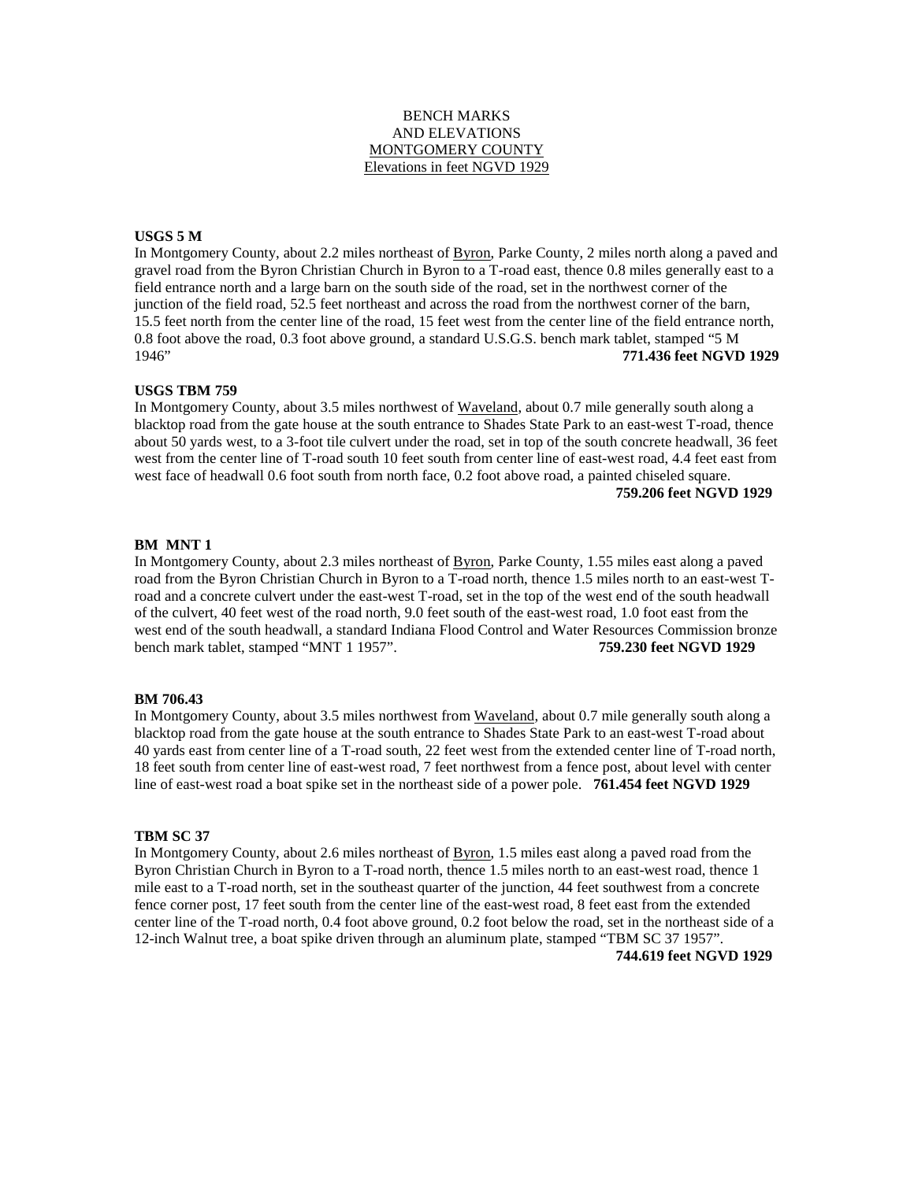# BENCH MARKS AND ELEVATIONS MONTGOMERY COUNTY Elevations in feet NGVD 1929

# **USGS 5 M**

In Montgomery County, about 2.2 miles northeast of Byron, Parke County, 2 miles north along a paved and gravel road from the Byron Christian Church in Byron to a T-road east, thence 0.8 miles generally east to a field entrance north and a large barn on the south side of the road, set in the northwest corner of the junction of the field road, 52.5 feet northeast and across the road from the northwest corner of the barn, 15.5 feet north from the center line of the road, 15 feet west from the center line of the field entrance north, 0.8 foot above the road, 0.3 foot above ground, a standard U.S.G.S. bench mark tablet, stamped "5 M 1946" **771.436 feet NGVD 1929**

#### **USGS TBM 759**

In Montgomery County, about 3.5 miles northwest of Waveland, about 0.7 mile generally south along a blacktop road from the gate house at the south entrance to Shades State Park to an east-west T-road, thence about 50 yards west, to a 3-foot tile culvert under the road, set in top of the south concrete headwall, 36 feet west from the center line of T-road south 10 feet south from center line of east-west road, 4.4 feet east from west face of headwall 0.6 foot south from north face, 0.2 foot above road, a painted chiseled square. **759.206 feet NGVD 1929**

#### **BM MNT 1**

In Montgomery County, about 2.3 miles northeast of Byron, Parke County, 1.55 miles east along a paved road from the Byron Christian Church in Byron to a T-road north, thence 1.5 miles north to an east-west Troad and a concrete culvert under the east-west T-road, set in the top of the west end of the south headwall of the culvert, 40 feet west of the road north, 9.0 feet south of the east-west road, 1.0 foot east from the west end of the south headwall, a standard Indiana Flood Control and Water Resources Commission bronze bench mark tablet, stamped "MNT 1 1957". **759.230 feet NGVD 1929**

#### **BM 706.43**

In Montgomery County, about 3.5 miles northwest from Waveland, about 0.7 mile generally south along a blacktop road from the gate house at the south entrance to Shades State Park to an east-west T-road about 40 yards east from center line of a T-road south, 22 feet west from the extended center line of T-road north, 18 feet south from center line of east-west road, 7 feet northwest from a fence post, about level with center line of east-west road a boat spike set in the northeast side of a power pole. **761.454 feet NGVD 1929**

## **TBM SC 37**

In Montgomery County, about 2.6 miles northeast of Byron, 1.5 miles east along a paved road from the Byron Christian Church in Byron to a T-road north, thence 1.5 miles north to an east-west road, thence 1 mile east to a T-road north, set in the southeast quarter of the junction, 44 feet southwest from a concrete fence corner post, 17 feet south from the center line of the east-west road, 8 feet east from the extended center line of the T-road north, 0.4 foot above ground, 0.2 foot below the road, set in the northeast side of a 12-inch Walnut tree, a boat spike driven through an aluminum plate, stamped "TBM SC 37 1957". **744.619 feet NGVD 1929**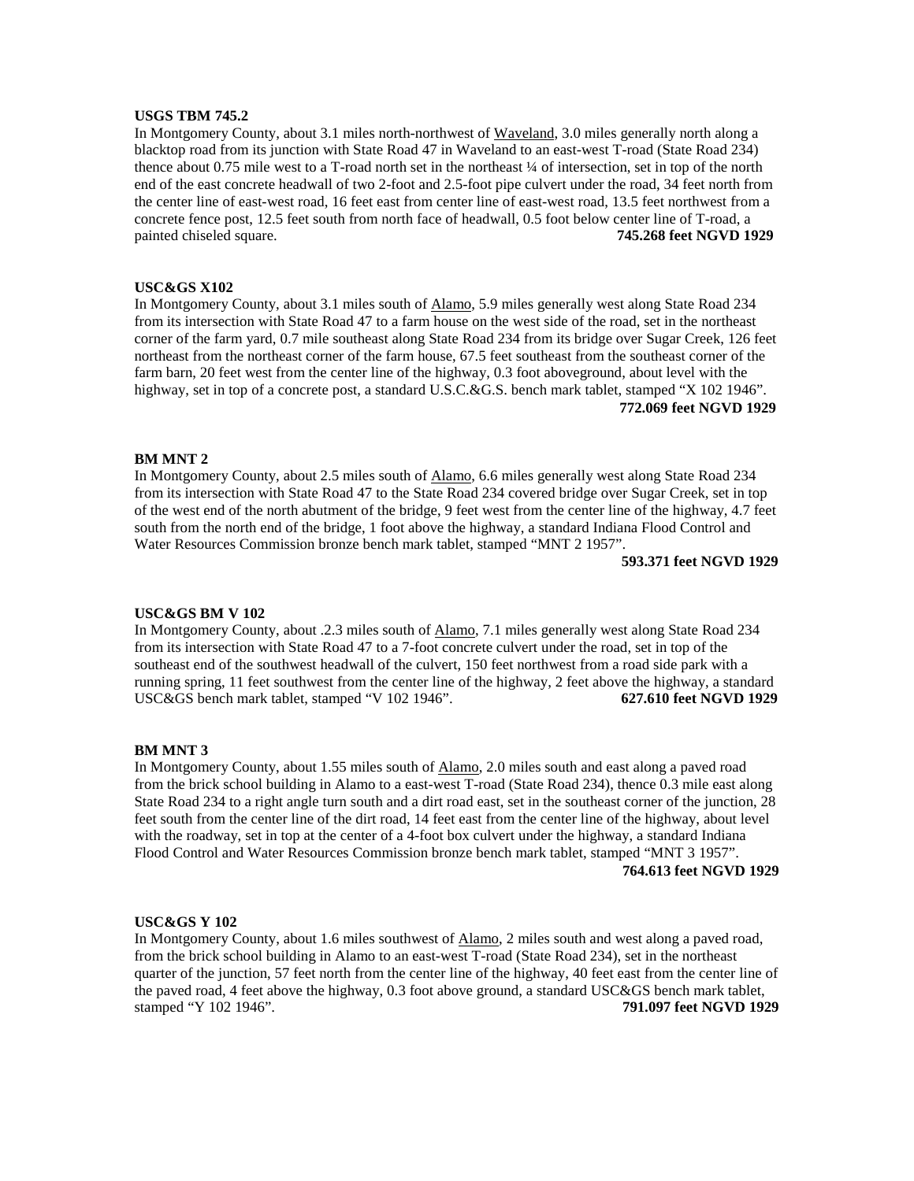# **USGS TBM 745.2**

In Montgomery County, about 3.1 miles north-northwest of Waveland, 3.0 miles generally north along a blacktop road from its junction with State Road 47 in Waveland to an east-west T-road (State Road 234) thence about 0.75 mile west to a T-road north set in the northeast ¼ of intersection, set in top of the north end of the east concrete headwall of two 2-foot and 2.5-foot pipe culvert under the road, 34 feet north from the center line of east-west road, 16 feet east from center line of east-west road, 13.5 feet northwest from a concrete fence post, 12.5 feet south from north face of headwall, 0.5 foot below center line of T-road, a painted chiseled square. **745.268 feet NGVD 1929**

### **USC&GS X102**

In Montgomery County, about 3.1 miles south of Alamo, 5.9 miles generally west along State Road 234 from its intersection with State Road 47 to a farm house on the west side of the road, set in the northeast corner of the farm yard, 0.7 mile southeast along State Road 234 from its bridge over Sugar Creek, 126 feet northeast from the northeast corner of the farm house, 67.5 feet southeast from the southeast corner of the farm barn, 20 feet west from the center line of the highway, 0.3 foot aboveground, about level with the highway, set in top of a concrete post, a standard U.S.C.&G.S. bench mark tablet, stamped "X 102 1946". **772.069 feet NGVD 1929**

# **BM MNT 2**

In Montgomery County, about 2.5 miles south of Alamo, 6.6 miles generally west along State Road 234 from its intersection with State Road 47 to the State Road 234 covered bridge over Sugar Creek, set in top of the west end of the north abutment of the bridge, 9 feet west from the center line of the highway, 4.7 feet south from the north end of the bridge, 1 foot above the highway, a standard Indiana Flood Control and Water Resources Commission bronze bench mark tablet, stamped "MNT 2 1957".

**593.371 feet NGVD 1929**

### **USC&GS BM V 102**

In Montgomery County, about .2.3 miles south of Alamo, 7.1 miles generally west along State Road 234 from its intersection with State Road 47 to a 7-foot concrete culvert under the road, set in top of the southeast end of the southwest headwall of the culvert, 150 feet northwest from a road side park with a running spring, 11 feet southwest from the center line of the highway, 2 feet above the highway, a standard USC&GS bench mark tablet, stamped "V 102 1946". **627.610 feet NGVD 1929**

#### **BM MNT 3**

In Montgomery County, about 1.55 miles south of Alamo, 2.0 miles south and east along a paved road from the brick school building in Alamo to a east-west T-road (State Road 234), thence 0.3 mile east along State Road 234 to a right angle turn south and a dirt road east, set in the southeast corner of the junction, 28 feet south from the center line of the dirt road, 14 feet east from the center line of the highway, about level with the roadway, set in top at the center of a 4-foot box culvert under the highway, a standard Indiana Flood Control and Water Resources Commission bronze bench mark tablet, stamped "MNT 3 1957". **764.613 feet NGVD 1929**

# **USC&GS Y 102**

In Montgomery County, about 1.6 miles southwest of Alamo, 2 miles south and west along a paved road, from the brick school building in Alamo to an east-west T-road (State Road 234), set in the northeast quarter of the junction, 57 feet north from the center line of the highway, 40 feet east from the center line of the paved road, 4 feet above the highway, 0.3 foot above ground, a standard USC&GS bench mark tablet, stamped "Y 102 1946". **791.097 feet NGVD 1929**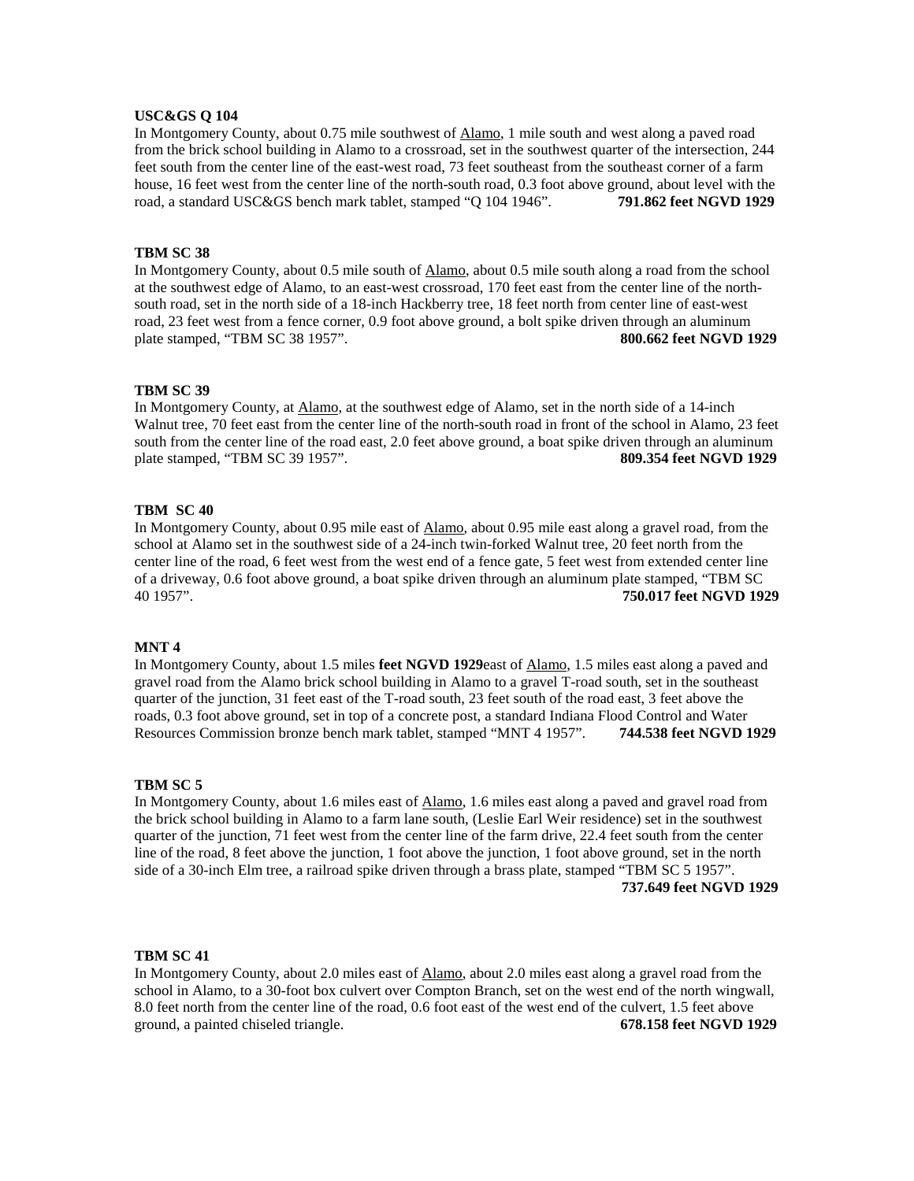# **USC&GS Q 104**

In Montgomery County, about 0.75 mile southwest of Alamo, 1 mile south and west along a paved road from the brick school building in Alamo to a crossroad, set in the southwest quarter of the intersection, 244 feet south from the center line of the east-west road, 73 feet southeast from the southeast corner of a farm house, 16 feet west from the center line of the north-south road, 0.3 foot above ground, about level with the road, a standard USC&GS bench mark tablet, stamped "Q 104 1946". **791.862 feet NGVD 1929**

## **TBM SC 38**

In Montgomery County, about 0.5 mile south of Alamo, about 0.5 mile south along a road from the school at the southwest edge of Alamo, to an east-west crossroad, 170 feet east from the center line of the northsouth road, set in the north side of a 18-inch Hackberry tree, 18 feet north from center line of east-west road, 23 feet west from a fence corner, 0.9 foot above ground, a bolt spike driven through an aluminum plate stamped, "TBM SC 38 1957". **800.662 feet NGVD 1929**

#### **TBM SC 39**

In Montgomery County, at Alamo, at the southwest edge of Alamo, set in the north side of a 14-inch Walnut tree, 70 feet east from the center line of the north-south road in front of the school in Alamo, 23 feet south from the center line of the road east, 2.0 feet above ground, a boat spike driven through an aluminum plate stamped, "TBM SC 39 1957". **809.354 feet NGVD 1929**

## **TBM SC 40**

In Montgomery County, about 0.95 mile east of Alamo, about 0.95 mile east along a gravel road, from the school at Alamo set in the southwest side of a 24-inch twin-forked Walnut tree, 20 feet north from the center line of the road, 6 feet west from the west end of a fence gate, 5 feet west from extended center line of a driveway, 0.6 foot above ground, a boat spike driven through an aluminum plate stamped, "TBM SC 40 1957". **750.017 feet NGVD 1929**

## **MNT 4**

In Montgomery County, about 1.5 miles **feet NGVD 1929**east of Alamo, 1.5 miles east along a paved and gravel road from the Alamo brick school building in Alamo to a gravel T-road south, set in the southeast quarter of the junction, 31 feet east of the T-road south, 23 feet south of the road east, 3 feet above the roads, 0.3 foot above ground, set in top of a concrete post, a standard Indiana Flood Control and Water Resources Commission bronze bench mark tablet, stamped "MNT 4 1957". **744.538 feet NGVD 1929**

#### **TBM SC 5**

In Montgomery County, about 1.6 miles east of Alamo, 1.6 miles east along a paved and gravel road from the brick school building in Alamo to a farm lane south, (Leslie Earl Weir residence) set in the southwest quarter of the junction, 71 feet west from the center line of the farm drive, 22.4 feet south from the center line of the road, 8 feet above the junction, 1 foot above the junction, 1 foot above ground, set in the north side of a 30-inch Elm tree, a railroad spike driven through a brass plate, stamped "TBM SC 5 1957".

**737.649 feet NGVD 1929**

#### **TBM SC 41**

In Montgomery County, about 2.0 miles east of Alamo, about 2.0 miles east along a gravel road from the school in Alamo, to a 30-foot box culvert over Compton Branch, set on the west end of the north wingwall, 8.0 feet north from the center line of the road, 0.6 foot east of the west end of the culvert, 1.5 feet above ground, a painted chiseled triangle. **678.158 feet NGVD 1929**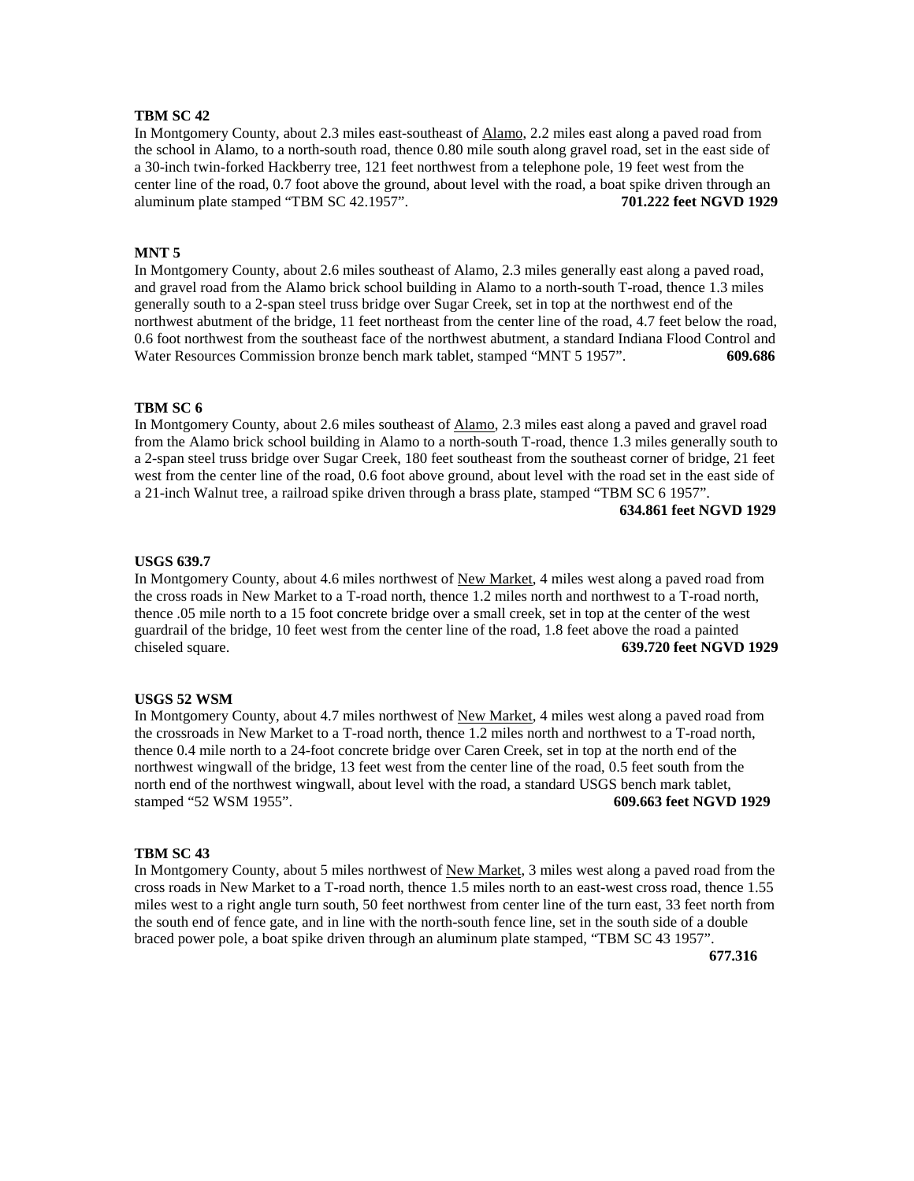In Montgomery County, about 2.3 miles east-southeast of Alamo, 2.2 miles east along a paved road from the school in Alamo, to a north-south road, thence 0.80 mile south along gravel road, set in the east side of a 30-inch twin-forked Hackberry tree, 121 feet northwest from a telephone pole, 19 feet west from the center line of the road, 0.7 foot above the ground, about level with the road, a boat spike driven through an aluminum plate stamped "TBM SC 42.1957". **701.222 feet NGVD 1929**

## **MNT 5**

In Montgomery County, about 2.6 miles southeast of Alamo, 2.3 miles generally east along a paved road, and gravel road from the Alamo brick school building in Alamo to a north-south T-road, thence 1.3 miles generally south to a 2-span steel truss bridge over Sugar Creek, set in top at the northwest end of the northwest abutment of the bridge, 11 feet northeast from the center line of the road, 4.7 feet below the road, 0.6 foot northwest from the southeast face of the northwest abutment, a standard Indiana Flood Control and Water Resources Commission bronze bench mark tablet, stamped "MNT 5 1957". **609.686**

## **TBM SC 6**

In Montgomery County, about 2.6 miles southeast of Alamo, 2.3 miles east along a paved and gravel road from the Alamo brick school building in Alamo to a north-south T-road, thence 1.3 miles generally south to a 2-span steel truss bridge over Sugar Creek, 180 feet southeast from the southeast corner of bridge, 21 feet west from the center line of the road, 0.6 foot above ground, about level with the road set in the east side of a 21-inch Walnut tree, a railroad spike driven through a brass plate, stamped "TBM SC 6 1957".

# **634.861 feet NGVD 1929**

#### **USGS 639.7**

In Montgomery County, about 4.6 miles northwest of New Market, 4 miles west along a paved road from the cross roads in New Market to a T-road north, thence 1.2 miles north and northwest to a T-road north, thence .05 mile north to a 15 foot concrete bridge over a small creek, set in top at the center of the west guardrail of the bridge, 10 feet west from the center line of the road, 1.8 feet above the road a painted chiseled square. **639.720 feet NGVD 1929**

#### **USGS 52 WSM**

In Montgomery County, about 4.7 miles northwest of New Market, 4 miles west along a paved road from the crossroads in New Market to a T-road north, thence 1.2 miles north and northwest to a T-road north, thence 0.4 mile north to a 24-foot concrete bridge over Caren Creek, set in top at the north end of the northwest wingwall of the bridge, 13 feet west from the center line of the road, 0.5 feet south from the north end of the northwest wingwall, about level with the road, a standard USGS bench mark tablet, stamped "52 WSM 1955". **609.663 feet NGVD 1929**

#### **TBM SC 43**

In Montgomery County, about 5 miles northwest of New Market, 3 miles west along a paved road from the cross roads in New Market to a T-road north, thence 1.5 miles north to an east-west cross road, thence 1.55 miles west to a right angle turn south, 50 feet northwest from center line of the turn east, 33 feet north from the south end of fence gate, and in line with the north-south fence line, set in the south side of a double braced power pole, a boat spike driven through an aluminum plate stamped, "TBM SC 43 1957".

**677.316**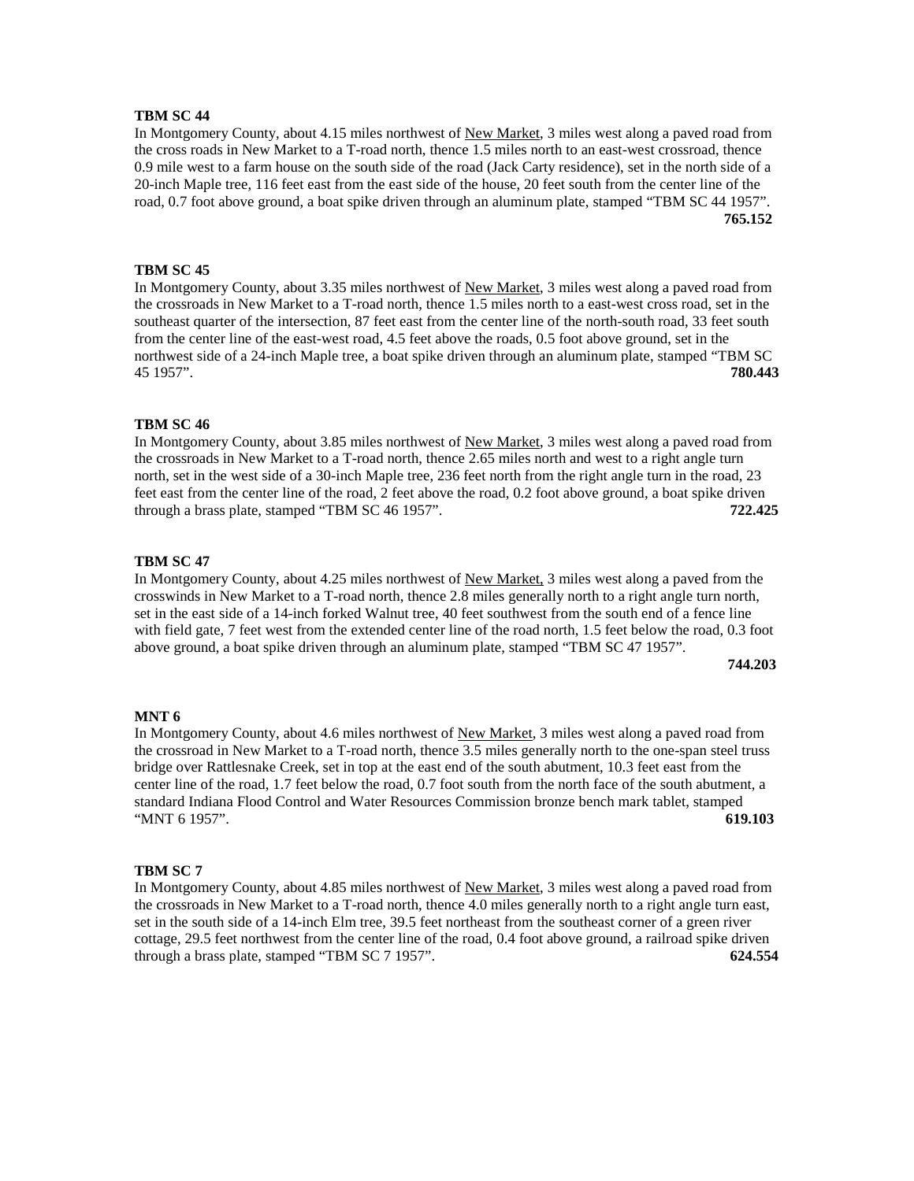In Montgomery County, about 4.15 miles northwest of New Market, 3 miles west along a paved road from the cross roads in New Market to a T-road north, thence 1.5 miles north to an east-west crossroad, thence 0.9 mile west to a farm house on the south side of the road (Jack Carty residence), set in the north side of a 20-inch Maple tree, 116 feet east from the east side of the house, 20 feet south from the center line of the road, 0.7 foot above ground, a boat spike driven through an aluminum plate, stamped "TBM SC 44 1957". **765.152**

# **TBM SC 45**

In Montgomery County, about 3.35 miles northwest of New Market, 3 miles west along a paved road from the crossroads in New Market to a T-road north, thence 1.5 miles north to a east-west cross road, set in the southeast quarter of the intersection, 87 feet east from the center line of the north-south road, 33 feet south from the center line of the east-west road, 4.5 feet above the roads, 0.5 foot above ground, set in the northwest side of a 24-inch Maple tree, a boat spike driven through an aluminum plate, stamped "TBM SC 45 1957". **780.443**

#### **TBM SC 46**

In Montgomery County, about 3.85 miles northwest of New Market, 3 miles west along a paved road from the crossroads in New Market to a T-road north, thence 2.65 miles north and west to a right angle turn north, set in the west side of a 30-inch Maple tree, 236 feet north from the right angle turn in the road, 23 feet east from the center line of the road, 2 feet above the road, 0.2 foot above ground, a boat spike driven through a brass plate, stamped "TBM SC 46 1957". **722.425**

#### **TBM SC 47**

In Montgomery County, about 4.25 miles northwest of New Market, 3 miles west along a paved from the crosswinds in New Market to a T-road north, thence 2.8 miles generally north to a right angle turn north, set in the east side of a 14-inch forked Walnut tree, 40 feet southwest from the south end of a fence line with field gate, 7 feet west from the extended center line of the road north, 1.5 feet below the road, 0.3 foot above ground, a boat spike driven through an aluminum plate, stamped "TBM SC 47 1957".

**744.203**

#### **MNT 6**

In Montgomery County, about 4.6 miles northwest of New Market, 3 miles west along a paved road from the crossroad in New Market to a T-road north, thence 3.5 miles generally north to the one-span steel truss bridge over Rattlesnake Creek, set in top at the east end of the south abutment, 10.3 feet east from the center line of the road, 1.7 feet below the road, 0.7 foot south from the north face of the south abutment, a standard Indiana Flood Control and Water Resources Commission bronze bench mark tablet, stamped "MNT 6 1957". **619.103**

## **TBM SC 7**

In Montgomery County, about 4.85 miles northwest of New Market, 3 miles west along a paved road from the crossroads in New Market to a T-road north, thence 4.0 miles generally north to a right angle turn east, set in the south side of a 14-inch Elm tree, 39.5 feet northeast from the southeast corner of a green river cottage, 29.5 feet northwest from the center line of the road, 0.4 foot above ground, a railroad spike driven through a brass plate, stamped "TBM SC 7 1957". **624.554**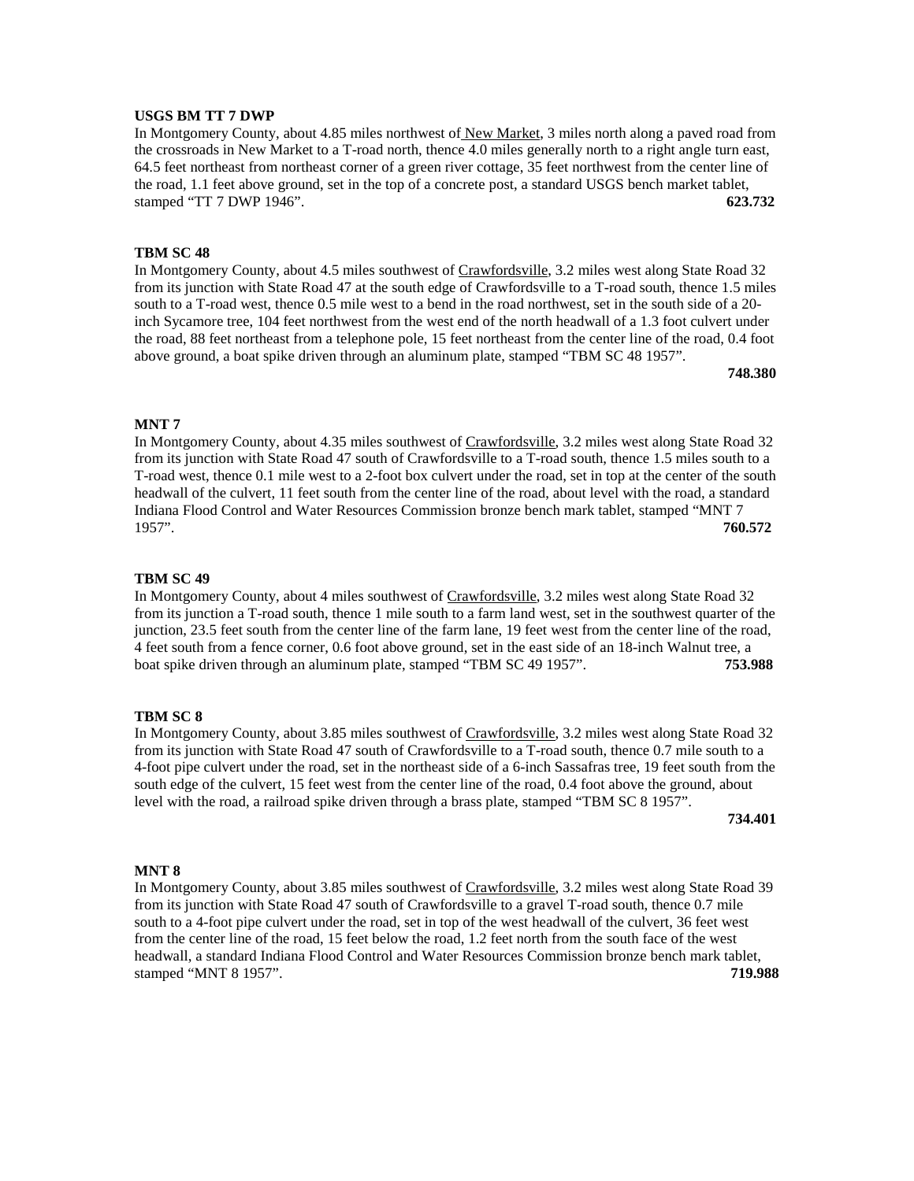# **USGS BM TT 7 DWP**

In Montgomery County, about 4.85 miles northwest of New Market, 3 miles north along a paved road from the crossroads in New Market to a T-road north, thence 4.0 miles generally north to a right angle turn east, 64.5 feet northeast from northeast corner of a green river cottage, 35 feet northwest from the center line of the road, 1.1 feet above ground, set in the top of a concrete post, a standard USGS bench market tablet, stamped "TT 7 DWP 1946". **623.732**

### **TBM SC 48**

In Montgomery County, about 4.5 miles southwest of Crawfordsville, 3.2 miles west along State Road 32 from its junction with State Road 47 at the south edge of Crawfordsville to a T-road south, thence 1.5 miles south to a T-road west, thence 0.5 mile west to a bend in the road northwest, set in the south side of a 20 inch Sycamore tree, 104 feet northwest from the west end of the north headwall of a 1.3 foot culvert under the road, 88 feet northeast from a telephone pole, 15 feet northeast from the center line of the road, 0.4 foot above ground, a boat spike driven through an aluminum plate, stamped "TBM SC 48 1957".

**748.380**

#### **MNT 7**

In Montgomery County, about 4.35 miles southwest of Crawfordsville, 3.2 miles west along State Road 32 from its junction with State Road 47 south of Crawfordsville to a T-road south, thence 1.5 miles south to a T-road west, thence 0.1 mile west to a 2-foot box culvert under the road, set in top at the center of the south headwall of the culvert, 11 feet south from the center line of the road, about level with the road, a standard Indiana Flood Control and Water Resources Commission bronze bench mark tablet, stamped "MNT 7 1957". **760.572**

#### **TBM SC 49**

In Montgomery County, about 4 miles southwest of Crawfordsville, 3.2 miles west along State Road 32 from its junction a T-road south, thence 1 mile south to a farm land west, set in the southwest quarter of the junction, 23.5 feet south from the center line of the farm lane, 19 feet west from the center line of the road, 4 feet south from a fence corner, 0.6 foot above ground, set in the east side of an 18-inch Walnut tree, a boat spike driven through an aluminum plate, stamped "TBM SC 49 1957". **753.988**

#### **TBM SC 8**

In Montgomery County, about 3.85 miles southwest of Crawfordsville, 3.2 miles west along State Road 32 from its junction with State Road 47 south of Crawfordsville to a T-road south, thence 0.7 mile south to a 4-foot pipe culvert under the road, set in the northeast side of a 6-inch Sassafras tree, 19 feet south from the south edge of the culvert, 15 feet west from the center line of the road, 0.4 foot above the ground, about level with the road, a railroad spike driven through a brass plate, stamped "TBM SC 8 1957".

**734.401**

# **MNT 8**

In Montgomery County, about 3.85 miles southwest of Crawfordsville, 3.2 miles west along State Road 39 from its junction with State Road 47 south of Crawfordsville to a gravel T-road south, thence 0.7 mile south to a 4-foot pipe culvert under the road, set in top of the west headwall of the culvert, 36 feet west from the center line of the road, 15 feet below the road, 1.2 feet north from the south face of the west headwall, a standard Indiana Flood Control and Water Resources Commission bronze bench mark tablet, stamped "MNT 8 1957". **719.988**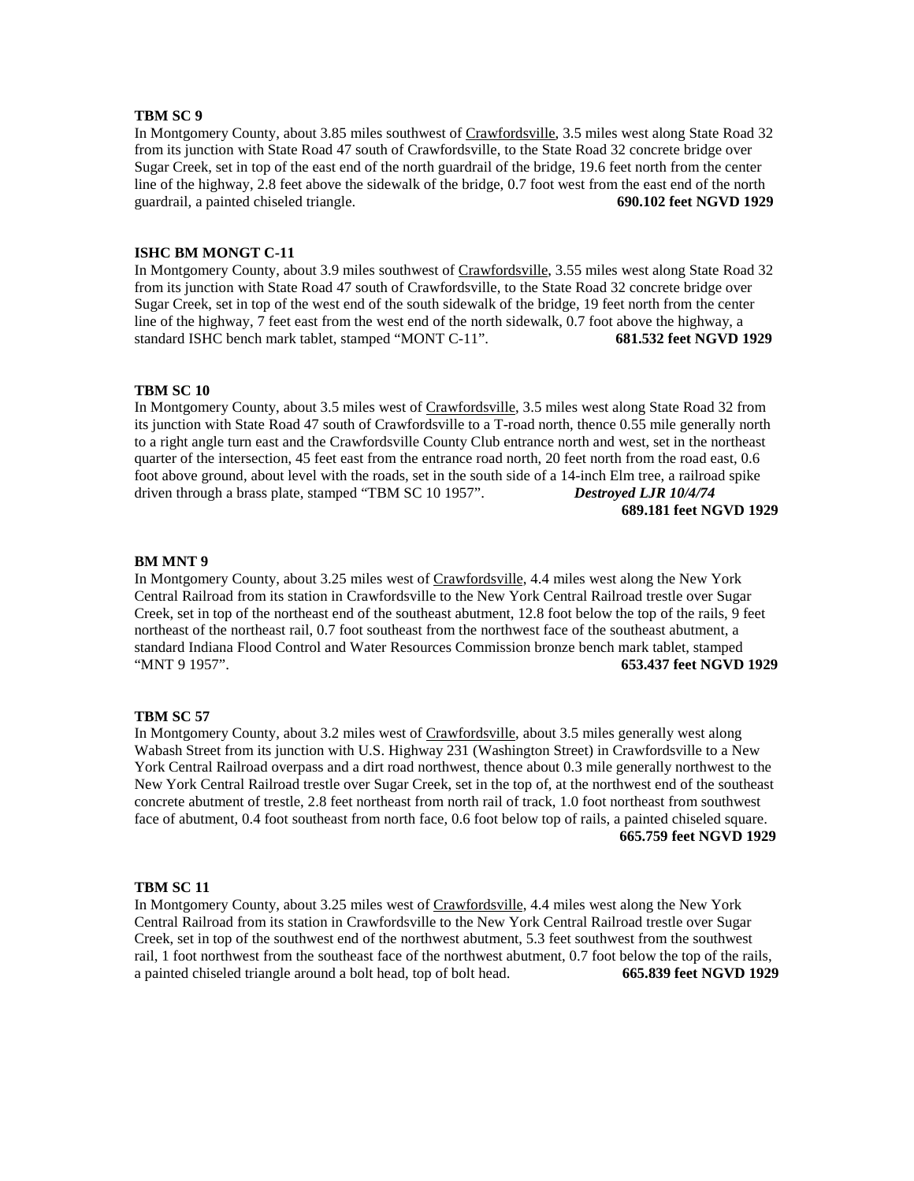In Montgomery County, about 3.85 miles southwest of Crawfordsville, 3.5 miles west along State Road 32 from its junction with State Road 47 south of Crawfordsville, to the State Road 32 concrete bridge over Sugar Creek, set in top of the east end of the north guardrail of the bridge, 19.6 feet north from the center line of the highway, 2.8 feet above the sidewalk of the bridge, 0.7 foot west from the east end of the north guardrail, a painted chiseled triangle. **690.102 feet NGVD 1929**

## **ISHC BM MONGT C-11**

In Montgomery County, about 3.9 miles southwest of Crawfordsville, 3.55 miles west along State Road 32 from its junction with State Road 47 south of Crawfordsville, to the State Road 32 concrete bridge over Sugar Creek, set in top of the west end of the south sidewalk of the bridge, 19 feet north from the center line of the highway, 7 feet east from the west end of the north sidewalk, 0.7 foot above the highway, a standard ISHC bench mark tablet, stamped "MONT C-11". **681.532 feet NGVD 1929**

## **TBM SC 10**

In Montgomery County, about 3.5 miles west of Crawfordsville, 3.5 miles west along State Road 32 from its junction with State Road 47 south of Crawfordsville to a T-road north, thence 0.55 mile generally north to a right angle turn east and the Crawfordsville County Club entrance north and west, set in the northeast quarter of the intersection, 45 feet east from the entrance road north, 20 feet north from the road east, 0.6 foot above ground, about level with the roads, set in the south side of a 14-inch Elm tree, a railroad spike driven through a brass plate, stamped "TBM SC 10 1957". *Destroyed LJR 10/4/74* **689.181 feet NGVD 1929**

#### **BM MNT 9**

In Montgomery County, about 3.25 miles west of Crawfordsville, 4.4 miles west along the New York Central Railroad from its station in Crawfordsville to the New York Central Railroad trestle over Sugar Creek, set in top of the northeast end of the southeast abutment, 12.8 foot below the top of the rails, 9 feet northeast of the northeast rail, 0.7 foot southeast from the northwest face of the southeast abutment, a standard Indiana Flood Control and Water Resources Commission bronze bench mark tablet, stamped "MNT 9 1957". **653.437 feet NGVD 1929**

#### **TBM SC 57**

In Montgomery County, about 3.2 miles west of Crawfordsville, about 3.5 miles generally west along Wabash Street from its junction with U.S. Highway 231 (Washington Street) in Crawfordsville to a New York Central Railroad overpass and a dirt road northwest, thence about 0.3 mile generally northwest to the New York Central Railroad trestle over Sugar Creek, set in the top of, at the northwest end of the southeast concrete abutment of trestle, 2.8 feet northeast from north rail of track, 1.0 foot northeast from southwest face of abutment, 0.4 foot southeast from north face, 0.6 foot below top of rails, a painted chiseled square. **665.759 feet NGVD 1929**

## **TBM SC 11**

In Montgomery County, about 3.25 miles west of Crawfordsville, 4.4 miles west along the New York Central Railroad from its station in Crawfordsville to the New York Central Railroad trestle over Sugar Creek, set in top of the southwest end of the northwest abutment, 5.3 feet southwest from the southwest rail, 1 foot northwest from the southeast face of the northwest abutment, 0.7 foot below the top of the rails, a painted chiseled triangle around a bolt head, top of bolt head. **665.839 feet NGVD 1929**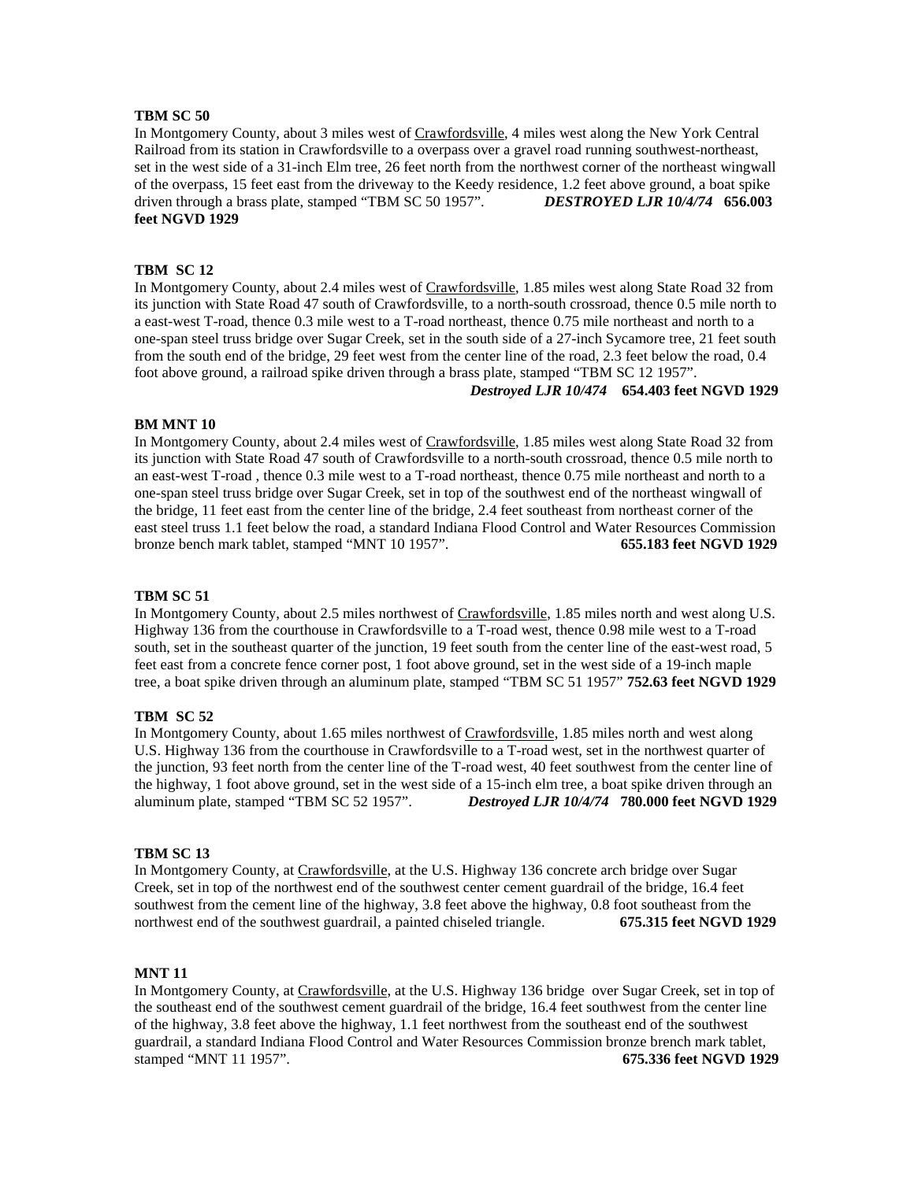In Montgomery County, about 3 miles west of Crawfordsville, 4 miles west along the New York Central Railroad from its station in Crawfordsville to a overpass over a gravel road running southwest-northeast, set in the west side of a 31-inch Elm tree, 26 feet north from the northwest corner of the northeast wingwall of the overpass, 15 feet east from the driveway to the Keedy residence, 1.2 feet above ground, a boat spike driven through a brass plate, stamped "TBM SC 50 1957". *DESTROYED LJR 10/4/74* **656.003 feet NGVD 1929**

# **TBM SC 12**

In Montgomery County, about 2.4 miles west of Crawfordsville, 1.85 miles west along State Road 32 from its junction with State Road 47 south of Crawfordsville, to a north-south crossroad, thence 0.5 mile north to a east-west T-road, thence 0.3 mile west to a T-road northeast, thence 0.75 mile northeast and north to a one-span steel truss bridge over Sugar Creek, set in the south side of a 27-inch Sycamore tree, 21 feet south from the south end of the bridge, 29 feet west from the center line of the road, 2.3 feet below the road, 0.4 foot above ground, a railroad spike driven through a brass plate, stamped "TBM SC 12 1957".

# *Destroyed LJR 10/474* **654.403 feet NGVD 1929**

#### **BM MNT 10**

In Montgomery County, about 2.4 miles west of Crawfordsville, 1.85 miles west along State Road 32 from its junction with State Road 47 south of Crawfordsville to a north-south crossroad, thence 0.5 mile north to an east-west T-road , thence 0.3 mile west to a T-road northeast, thence 0.75 mile northeast and north to a one-span steel truss bridge over Sugar Creek, set in top of the southwest end of the northeast wingwall of the bridge, 11 feet east from the center line of the bridge, 2.4 feet southeast from northeast corner of the east steel truss 1.1 feet below the road, a standard Indiana Flood Control and Water Resources Commission bronze bench mark tablet, stamped "MNT 10 1957". **655.183 feet NGVD 1929**

#### **TBM SC 51**

In Montgomery County, about 2.5 miles northwest of Crawfordsville, 1.85 miles north and west along U.S. Highway 136 from the courthouse in Crawfordsville to a T-road west, thence 0.98 mile west to a T-road south, set in the southeast quarter of the junction, 19 feet south from the center line of the east-west road, 5 feet east from a concrete fence corner post, 1 foot above ground, set in the west side of a 19-inch maple tree, a boat spike driven through an aluminum plate, stamped "TBM SC 51 1957" **752.63 feet NGVD 1929**

# **TBM SC 52**

In Montgomery County, about 1.65 miles northwest of Crawfordsville, 1.85 miles north and west along U.S. Highway 136 from the courthouse in Crawfordsville to a T-road west, set in the northwest quarter of the junction, 93 feet north from the center line of the T-road west, 40 feet southwest from the center line of the highway, 1 foot above ground, set in the west side of a 15-inch elm tree, a boat spike driven through an aluminum plate, stamped "TBM SC 52 1957". *Destroyed LJR 10/4/74* **780.000 feet NGVD 1929**

#### **TBM SC 13**

In Montgomery County, at Crawfordsville, at the U.S. Highway 136 concrete arch bridge over Sugar Creek, set in top of the northwest end of the southwest center cement guardrail of the bridge, 16.4 feet southwest from the cement line of the highway, 3.8 feet above the highway, 0.8 foot southeast from the northwest end of the southwest guardrail, a painted chiseled triangle. **675.315 feet NGVD 1929**

## **MNT 11**

In Montgomery County, at Crawfordsville, at the U.S. Highway 136 bridge over Sugar Creek, set in top of the southeast end of the southwest cement guardrail of the bridge, 16.4 feet southwest from the center line of the highway, 3.8 feet above the highway, 1.1 feet northwest from the southeast end of the southwest guardrail, a standard Indiana Flood Control and Water Resources Commission bronze brench mark tablet, stamped "MNT 11 1957". **675.336 feet NGVD 1929**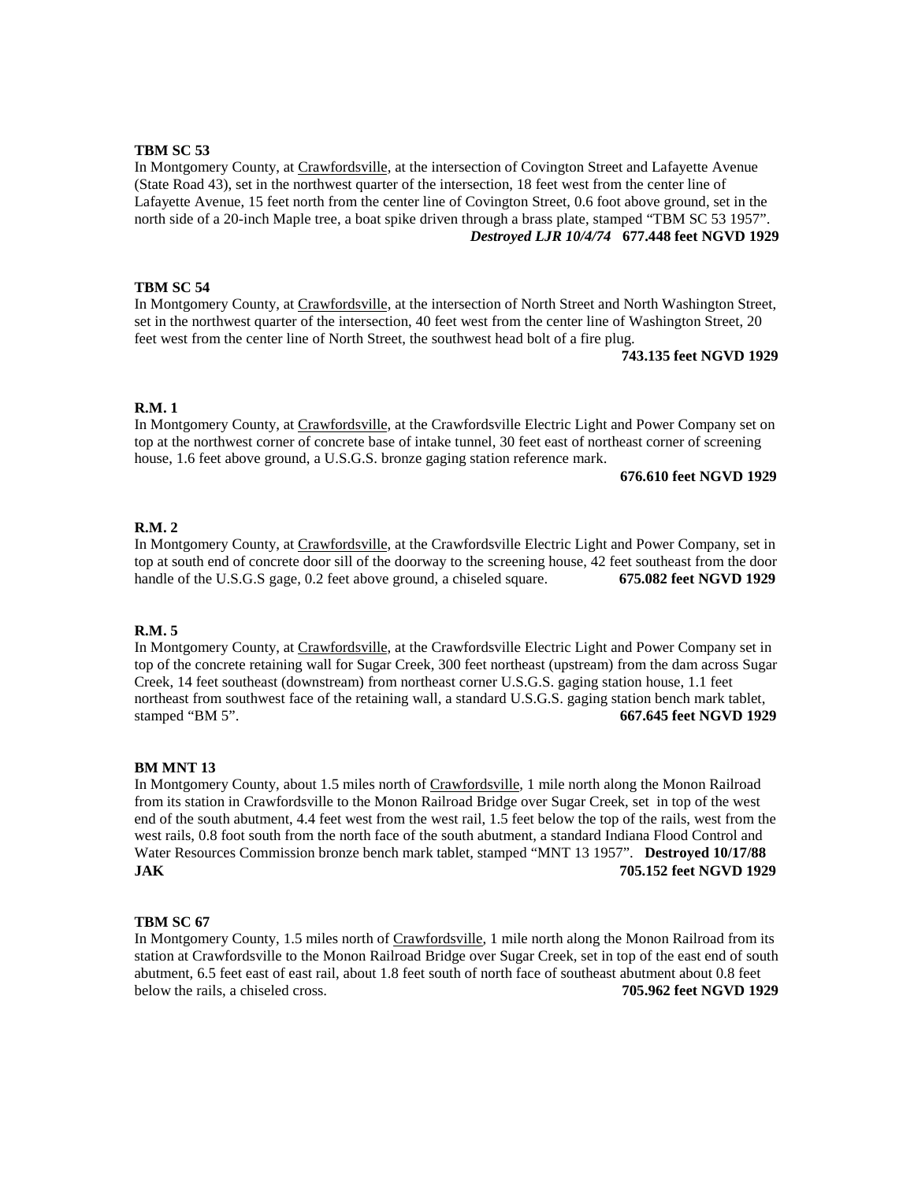In Montgomery County, at Crawfordsville, at the intersection of Covington Street and Lafayette Avenue (State Road 43), set in the northwest quarter of the intersection, 18 feet west from the center line of Lafayette Avenue, 15 feet north from the center line of Covington Street, 0.6 foot above ground, set in the north side of a 20-inch Maple tree, a boat spike driven through a brass plate, stamped "TBM SC 53 1957". *Destroyed LJR 10/4/74* **677.448 feet NGVD 1929**

## **TBM SC 54**

In Montgomery County, at Crawfordsville, at the intersection of North Street and North Washington Street, set in the northwest quarter of the intersection, 40 feet west from the center line of Washington Street, 20 feet west from the center line of North Street, the southwest head bolt of a fire plug.

**743.135 feet NGVD 1929**

### **R.M. 1**

In Montgomery County, at Crawfordsville, at the Crawfordsville Electric Light and Power Company set on top at the northwest corner of concrete base of intake tunnel, 30 feet east of northeast corner of screening house, 1.6 feet above ground, a U.S.G.S. bronze gaging station reference mark.

**676.610 feet NGVD 1929**

#### **R.M. 2**

In Montgomery County, at Crawfordsville, at the Crawfordsville Electric Light and Power Company, set in top at south end of concrete door sill of the doorway to the screening house, 42 feet southeast from the door handle of the U.S.G.S gage, 0.2 feet above ground, a chiseled square. **675.082 feet NGVD 1929**

### **R.M. 5**

In Montgomery County, at Crawfordsville, at the Crawfordsville Electric Light and Power Company set in top of the concrete retaining wall for Sugar Creek, 300 feet northeast (upstream) from the dam across Sugar Creek, 14 feet southeast (downstream) from northeast corner U.S.G.S. gaging station house, 1.1 feet northeast from southwest face of the retaining wall, a standard U.S.G.S. gaging station bench mark tablet, stamped "BM 5". **667.645 feet NGVD 1929**

#### **BM MNT 13**

In Montgomery County, about 1.5 miles north of Crawfordsville, 1 mile north along the Monon Railroad from its station in Crawfordsville to the Monon Railroad Bridge over Sugar Creek, set in top of the west end of the south abutment, 4.4 feet west from the west rail, 1.5 feet below the top of the rails, west from the west rails, 0.8 foot south from the north face of the south abutment, a standard Indiana Flood Control and Water Resources Commission bronze bench mark tablet, stamped "MNT 13 1957". **Destroyed 10/17/88 JAK 705.152 feet NGVD 1929**

#### **TBM SC 67**

In Montgomery County, 1.5 miles north of Crawfordsville, 1 mile north along the Monon Railroad from its station at Crawfordsville to the Monon Railroad Bridge over Sugar Creek, set in top of the east end of south abutment, 6.5 feet east of east rail, about 1.8 feet south of north face of southeast abutment about 0.8 feet below the rails, a chiseled cross. **705.962 feet NGVD 1929**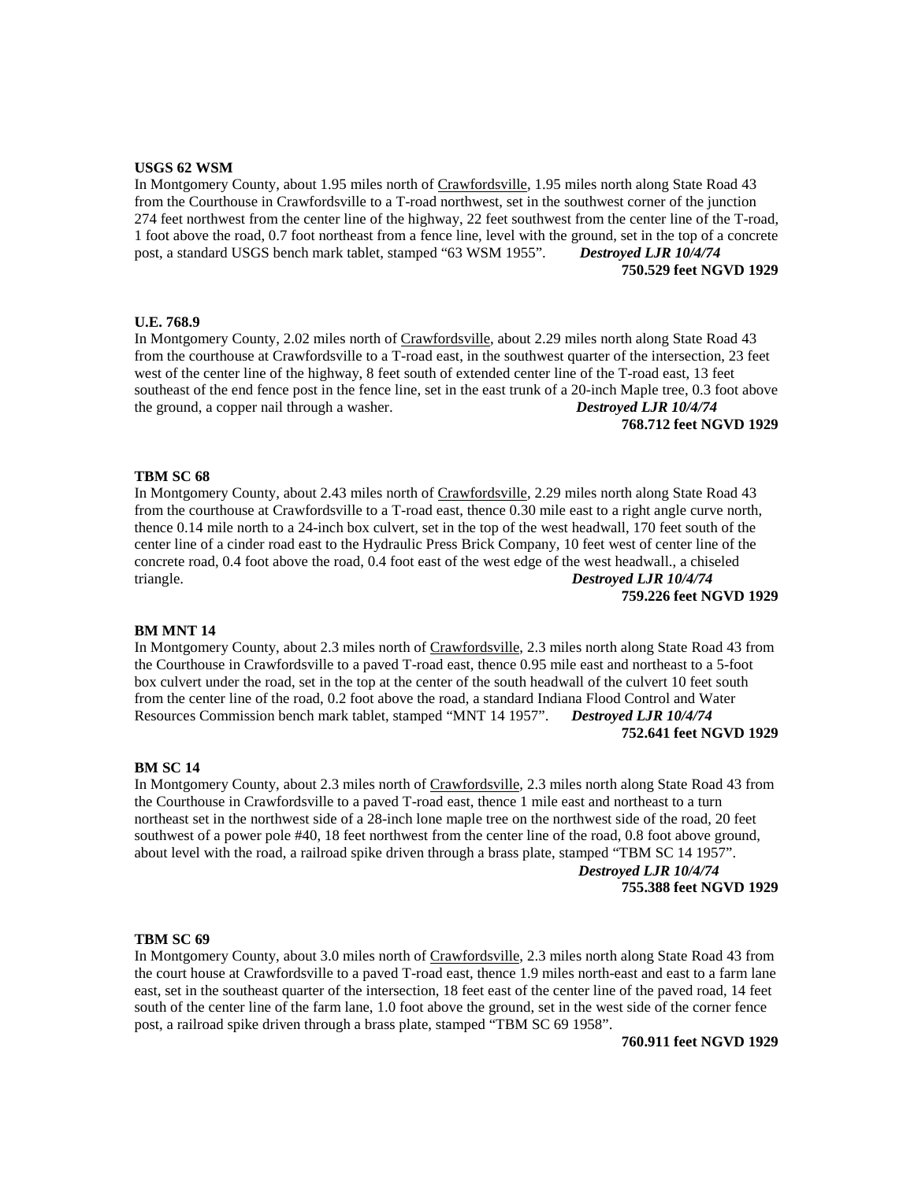#### **USGS 62 WSM**

In Montgomery County, about 1.95 miles north of Crawfordsville, 1.95 miles north along State Road 43 from the Courthouse in Crawfordsville to a T-road northwest, set in the southwest corner of the junction 274 feet northwest from the center line of the highway, 22 feet southwest from the center line of the T-road, 1 foot above the road, 0.7 foot northeast from a fence line, level with the ground, set in the top of a concrete post, a standard USGS bench mark tablet, stamped "63 WSM 1955". *Destroyed LJR 10/4/74* **750.529 feet NGVD 1929**

#### **U.E. 768.9**

In Montgomery County, 2.02 miles north of Crawfordsville, about 2.29 miles north along State Road 43 from the courthouse at Crawfordsville to a T-road east, in the southwest quarter of the intersection, 23 feet west of the center line of the highway, 8 feet south of extended center line of the T-road east, 13 feet southeast of the end fence post in the fence line, set in the east trunk of a 20-inch Maple tree, 0.3 foot above the ground, a copper nail through a washer. *Destroyed LJR 10/4/74* **768.712 feet NGVD 1929**

#### **TBM SC 68**

In Montgomery County, about 2.43 miles north of Crawfordsville, 2.29 miles north along State Road 43 from the courthouse at Crawfordsville to a T-road east, thence 0.30 mile east to a right angle curve north, thence 0.14 mile north to a 24-inch box culvert, set in the top of the west headwall, 170 feet south of the center line of a cinder road east to the Hydraulic Press Brick Company, 10 feet west of center line of the concrete road, 0.4 foot above the road, 0.4 foot east of the west edge of the west headwall., a chiseled triangle. *Destroyed LJR 10/4/74*

**759.226 feet NGVD 1929**

## **BM MNT 14**

In Montgomery County, about 2.3 miles north of Crawfordsville, 2.3 miles north along State Road 43 from the Courthouse in Crawfordsville to a paved T-road east, thence 0.95 mile east and northeast to a 5-foot box culvert under the road, set in the top at the center of the south headwall of the culvert 10 feet south from the center line of the road, 0.2 foot above the road, a standard Indiana Flood Control and Water Resources Commission bench mark tablet, stamped "MNT 14 1957". *Destroyed LJR 10/4/74* **752.641 feet NGVD 1929**

## **BM SC 14**

In Montgomery County, about 2.3 miles north of Crawfordsville, 2.3 miles north along State Road 43 from the Courthouse in Crawfordsville to a paved T-road east, thence 1 mile east and northeast to a turn northeast set in the northwest side of a 28-inch lone maple tree on the northwest side of the road, 20 feet southwest of a power pole #40, 18 feet northwest from the center line of the road, 0.8 foot above ground, about level with the road, a railroad spike driven through a brass plate, stamped "TBM SC 14 1957".

 *Destroyed LJR 10/4/74* **755.388 feet NGVD 1929**

#### **TBM SC 69**

In Montgomery County, about 3.0 miles north of Crawfordsville, 2.3 miles north along State Road 43 from the court house at Crawfordsville to a paved T-road east, thence 1.9 miles north-east and east to a farm lane east, set in the southeast quarter of the intersection, 18 feet east of the center line of the paved road, 14 feet south of the center line of the farm lane, 1.0 foot above the ground, set in the west side of the corner fence post, a railroad spike driven through a brass plate, stamped "TBM SC 69 1958".

**760.911 feet NGVD 1929**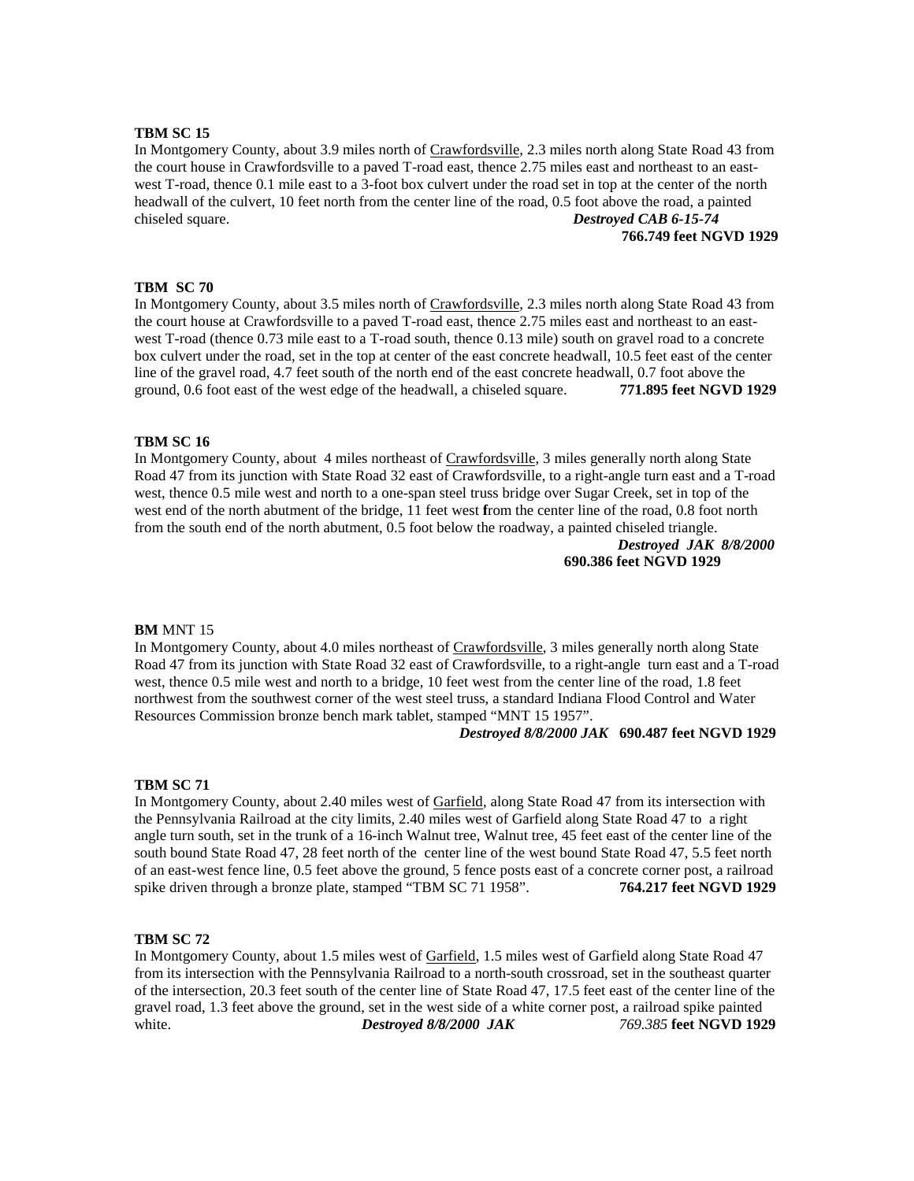In Montgomery County, about 3.9 miles north of Crawfordsville, 2.3 miles north along State Road 43 from the court house in Crawfordsville to a paved T-road east, thence 2.75 miles east and northeast to an eastwest T-road, thence 0.1 mile east to a 3-foot box culvert under the road set in top at the center of the north headwall of the culvert, 10 feet north from the center line of the road, 0.5 foot above the road, a painted chiseled square. *Destroyed CAB 6-15-74*

**766.749 feet NGVD 1929**

### **TBM SC 70**

In Montgomery County, about 3.5 miles north of Crawfordsville, 2.3 miles north along State Road 43 from the court house at Crawfordsville to a paved T-road east, thence 2.75 miles east and northeast to an eastwest T-road (thence 0.73 mile east to a T-road south, thence 0.13 mile) south on gravel road to a concrete box culvert under the road, set in the top at center of the east concrete headwall, 10.5 feet east of the center line of the gravel road, 4.7 feet south of the north end of the east concrete headwall, 0.7 foot above the ground, 0.6 foot east of the west edge of the headwall, a chiseled square. **771.895 feet NGVD 1929**

## **TBM SC 16**

In Montgomery County, about 4 miles northeast of Crawfordsville, 3 miles generally north along State Road 47 from its junction with State Road 32 east of Crawfordsville, to a right-angle turn east and a T-road west, thence 0.5 mile west and north to a one-span steel truss bridge over Sugar Creek, set in top of the west end of the north abutment of the bridge, 11 feet west **f**rom the center line of the road, 0.8 foot north from the south end of the north abutment, 0.5 foot below the roadway, a painted chiseled triangle.

> *Destroyed JAK 8/8/2000* **690.386 feet NGVD 1929**

#### **BM** MNT 15

In Montgomery County, about 4.0 miles northeast of Crawfordsville, 3 miles generally north along State Road 47 from its junction with State Road 32 east of Crawfordsville, to a right-angle turn east and a T-road west, thence 0.5 mile west and north to a bridge, 10 feet west from the center line of the road, 1.8 feet northwest from the southwest corner of the west steel truss, a standard Indiana Flood Control and Water Resources Commission bronze bench mark tablet, stamped "MNT 15 1957".

#### *Destroyed 8/8/2000 JAK* **690.487 feet NGVD 1929**

#### **TBM SC 71**

In Montgomery County, about 2.40 miles west of Garfield, along State Road 47 from its intersection with the Pennsylvania Railroad at the city limits, 2.40 miles west of Garfield along State Road 47 to a right angle turn south, set in the trunk of a 16-inch Walnut tree, Walnut tree, 45 feet east of the center line of the south bound State Road 47, 28 feet north of the center line of the west bound State Road 47, 5.5 feet north of an east-west fence line, 0.5 feet above the ground, 5 fence posts east of a concrete corner post, a railroad spike driven through a bronze plate, stamped "TBM SC 71 1958". **764.217 feet NGVD 1929**

#### **TBM SC 72**

In Montgomery County, about 1.5 miles west of Garfield, 1.5 miles west of Garfield along State Road 47 from its intersection with the Pennsylvania Railroad to a north-south crossroad, set in the southeast quarter of the intersection, 20.3 feet south of the center line of State Road 47, 17.5 feet east of the center line of the gravel road, 1.3 feet above the ground, set in the west side of a white corner post, a railroad spike painted white. *Destroyed 8/8/2000 JAK 769.385* **feet NGVD 1929**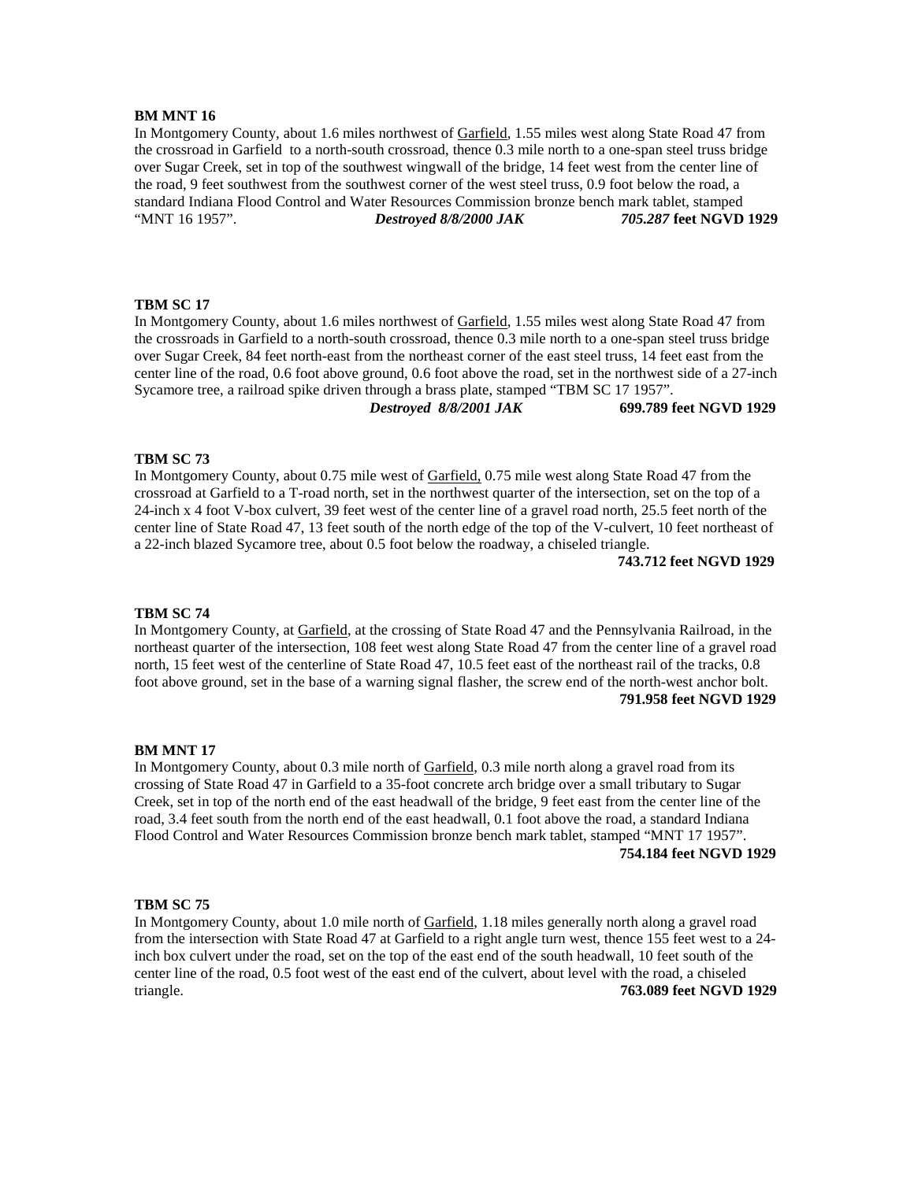# **BM MNT 16**

In Montgomery County, about 1.6 miles northwest of Garfield, 1.55 miles west along State Road 47 from the crossroad in Garfield to a north-south crossroad, thence 0.3 mile north to a one-span steel truss bridge over Sugar Creek, set in top of the southwest wingwall of the bridge, 14 feet west from the center line of the road, 9 feet southwest from the southwest corner of the west steel truss, 0.9 foot below the road, a standard Indiana Flood Control and Water Resources Commission bronze bench mark tablet, stamped "MNT 16 1957". *Destroyed 8/8/2000 JAK 705.287* **feet NGVD 1929**

# **TBM SC 17**

In Montgomery County, about 1.6 miles northwest of Garfield, 1.55 miles west along State Road 47 from the crossroads in Garfield to a north-south crossroad, thence 0.3 mile north to a one-span steel truss bridge over Sugar Creek, 84 feet north-east from the northeast corner of the east steel truss, 14 feet east from the center line of the road, 0.6 foot above ground, 0.6 foot above the road, set in the northwest side of a 27-inch Sycamore tree, a railroad spike driven through a brass plate, stamped "TBM SC 17 1957".

*Destroyed 8/8/2001 JAK* **699.789 feet NGVD 1929**

# **TBM SC 73**

In Montgomery County, about 0.75 mile west of Garfield, 0.75 mile west along State Road 47 from the crossroad at Garfield to a T-road north, set in the northwest quarter of the intersection, set on the top of a 24-inch x 4 foot V-box culvert, 39 feet west of the center line of a gravel road north, 25.5 feet north of the center line of State Road 47, 13 feet south of the north edge of the top of the V-culvert, 10 feet northeast of a 22-inch blazed Sycamore tree, about 0.5 foot below the roadway, a chiseled triangle.

**743.712 feet NGVD 1929**

## **TBM SC 74**

In Montgomery County, at Garfield, at the crossing of State Road 47 and the Pennsylvania Railroad, in the northeast quarter of the intersection, 108 feet west along State Road 47 from the center line of a gravel road north, 15 feet west of the centerline of State Road 47, 10.5 feet east of the northeast rail of the tracks, 0.8 foot above ground, set in the base of a warning signal flasher, the screw end of the north-west anchor bolt. **791.958 feet NGVD 1929**

#### **BM MNT 17**

In Montgomery County, about 0.3 mile north of Garfield, 0.3 mile north along a gravel road from its crossing of State Road 47 in Garfield to a 35-foot concrete arch bridge over a small tributary to Sugar Creek, set in top of the north end of the east headwall of the bridge, 9 feet east from the center line of the road, 3.4 feet south from the north end of the east headwall, 0.1 foot above the road, a standard Indiana Flood Control and Water Resources Commission bronze bench mark tablet, stamped "MNT 17 1957". **754.184 feet NGVD 1929**

#### **TBM SC 75**

In Montgomery County, about 1.0 mile north of Garfield, 1.18 miles generally north along a gravel road from the intersection with State Road 47 at Garfield to a right angle turn west, thence 155 feet west to a 24 inch box culvert under the road, set on the top of the east end of the south headwall, 10 feet south of the center line of the road, 0.5 foot west of the east end of the culvert, about level with the road, a chiseled triangle. **763.089 feet NGVD 1929**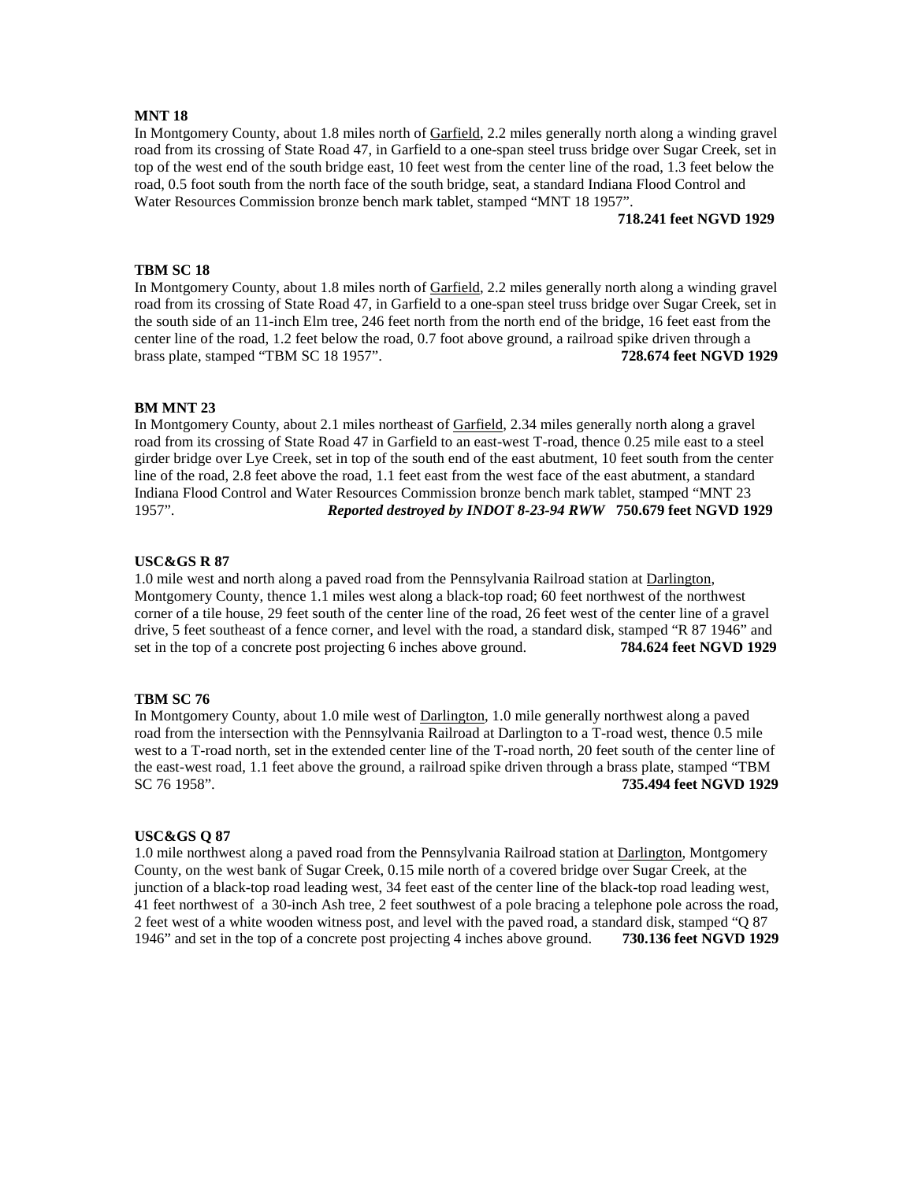# **MNT 18**

In Montgomery County, about 1.8 miles north of Garfield, 2.2 miles generally north along a winding gravel road from its crossing of State Road 47, in Garfield to a one-span steel truss bridge over Sugar Creek, set in top of the west end of the south bridge east, 10 feet west from the center line of the road, 1.3 feet below the road, 0.5 foot south from the north face of the south bridge, seat, a standard Indiana Flood Control and Water Resources Commission bronze bench mark tablet, stamped "MNT 18 1957".

**718.241 feet NGVD 1929**

# **TBM SC 18**

In Montgomery County, about 1.8 miles north of Garfield, 2.2 miles generally north along a winding gravel road from its crossing of State Road 47, in Garfield to a one-span steel truss bridge over Sugar Creek, set in the south side of an 11-inch Elm tree, 246 feet north from the north end of the bridge, 16 feet east from the center line of the road, 1.2 feet below the road, 0.7 foot above ground, a railroad spike driven through a brass plate, stamped "TBM SC 18 1957". **728.674 feet NGVD 1929**

## **BM MNT 23**

In Montgomery County, about 2.1 miles northeast of Garfield, 2.34 miles generally north along a gravel road from its crossing of State Road 47 in Garfield to an east-west T-road, thence 0.25 mile east to a steel girder bridge over Lye Creek, set in top of the south end of the east abutment, 10 feet south from the center line of the road, 2.8 feet above the road, 1.1 feet east from the west face of the east abutment, a standard Indiana Flood Control and Water Resources Commission bronze bench mark tablet, stamped "MNT 23 1957". *Reported destroyed by INDOT 8-23-94 RWW* **750.679 feet NGVD 1929**

## **USC&GS R 87**

1.0 mile west and north along a paved road from the Pennsylvania Railroad station at Darlington, Montgomery County, thence 1.1 miles west along a black-top road; 60 feet northwest of the northwest corner of a tile house, 29 feet south of the center line of the road, 26 feet west of the center line of a gravel drive, 5 feet southeast of a fence corner, and level with the road, a standard disk, stamped "R 87 1946" and set in the top of a concrete post projecting 6 inches above ground. **784.624 feet NGVD 1929**

# **TBM SC 76**

In Montgomery County, about 1.0 mile west of Darlington, 1.0 mile generally northwest along a paved road from the intersection with the Pennsylvania Railroad at Darlington to a T-road west, thence 0.5 mile west to a T-road north, set in the extended center line of the T-road north, 20 feet south of the center line of the east-west road, 1.1 feet above the ground, a railroad spike driven through a brass plate, stamped "TBM SC 76 1958". **735.494 feet NGVD 1929**

### **USC&GS Q 87**

1.0 mile northwest along a paved road from the Pennsylvania Railroad station at Darlington, Montgomery County, on the west bank of Sugar Creek, 0.15 mile north of a covered bridge over Sugar Creek, at the junction of a black-top road leading west, 34 feet east of the center line of the black-top road leading west, 41 feet northwest of a 30-inch Ash tree, 2 feet southwest of a pole bracing a telephone pole across the road, 2 feet west of a white wooden witness post, and level with the paved road, a standard disk, stamped "Q 87 1946" and set in the top of a concrete post projecting 4 inches above ground. **730.136 feet NGVD 1929**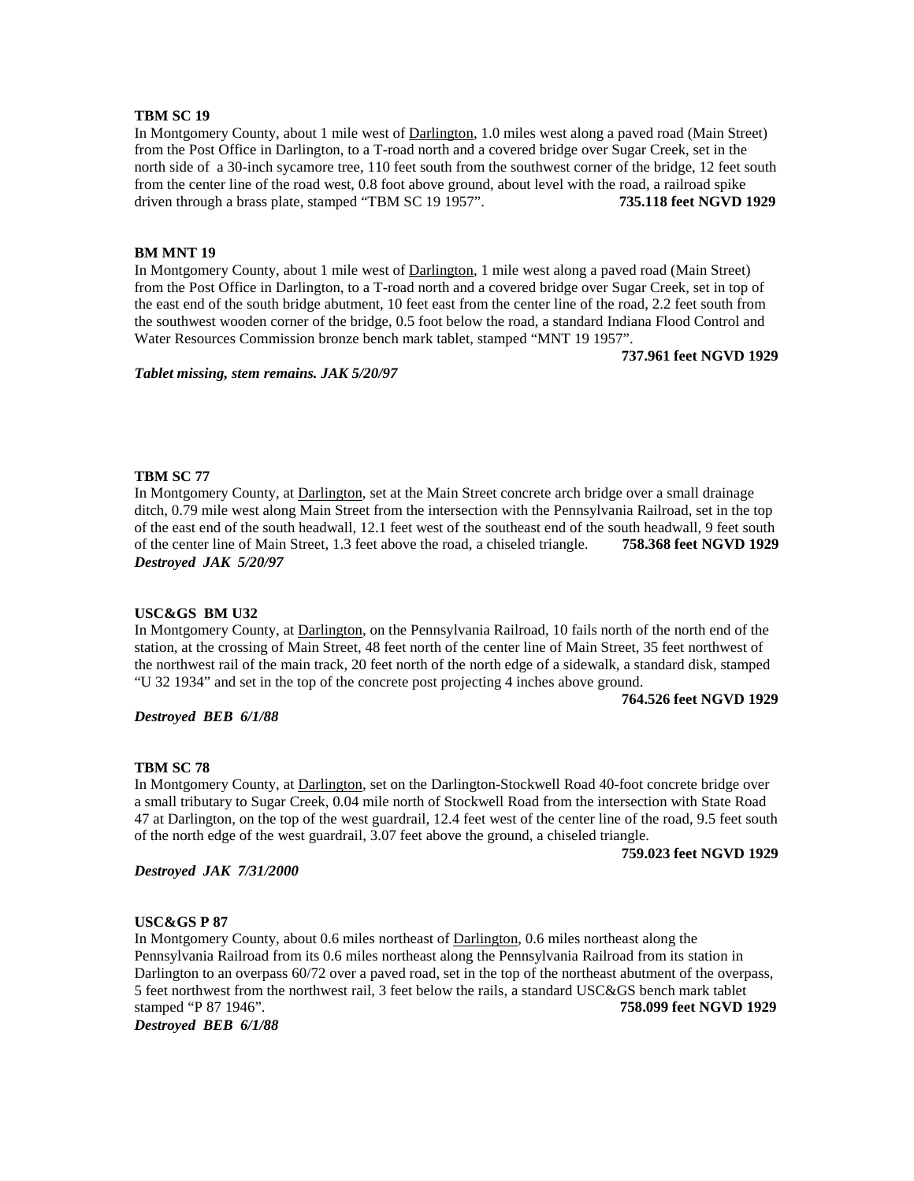In Montgomery County, about 1 mile west of Darlington, 1.0 miles west along a paved road (Main Street) from the Post Office in Darlington, to a T-road north and a covered bridge over Sugar Creek, set in the north side of a 30-inch sycamore tree, 110 feet south from the southwest corner of the bridge, 12 feet south from the center line of the road west, 0.8 foot above ground, about level with the road, a railroad spike driven through a brass plate, stamped "TBM SC 19 1957". **735.118 feet NGVD 1929**

# **BM MNT 19**

In Montgomery County, about 1 mile west of Darlington, 1 mile west along a paved road (Main Street) from the Post Office in Darlington, to a T-road north and a covered bridge over Sugar Creek, set in top of the east end of the south bridge abutment, 10 feet east from the center line of the road, 2.2 feet south from the southwest wooden corner of the bridge, 0.5 foot below the road, a standard Indiana Flood Control and Water Resources Commission bronze bench mark tablet, stamped "MNT 19 1957".

**737.961 feet NGVD 1929**

*Tablet missing, stem remains. JAK 5/20/97*

## **TBM SC 77**

In Montgomery County, at Darlington, set at the Main Street concrete arch bridge over a small drainage ditch, 0.79 mile west along Main Street from the intersection with the Pennsylvania Railroad, set in the top of the east end of the south headwall, 12.1 feet west of the southeast end of the south headwall, 9 feet south of the center line of Main Street, 1.3 feet above the road, a chiseled triangle. **758.368 feet NGVD 1929** *Destroyed JAK 5/20/97*

## **USC&GS BM U32**

In Montgomery County, at Darlington, on the Pennsylvania Railroad, 10 fails north of the north end of the station, at the crossing of Main Street, 48 feet north of the center line of Main Street, 35 feet northwest of the northwest rail of the main track, 20 feet north of the north edge of a sidewalk, a standard disk, stamped "U 32 1934" and set in the top of the concrete post projecting 4 inches above ground.

**764.526 feet NGVD 1929**

## *Destroyed BEB 6/1/88*

## **TBM SC 78**

In Montgomery County, at **Darlington**, set on the Darlington-Stockwell Road 40-foot concrete bridge over a small tributary to Sugar Creek, 0.04 mile north of Stockwell Road from the intersection with State Road 47 at Darlington, on the top of the west guardrail, 12.4 feet west of the center line of the road, 9.5 feet south of the north edge of the west guardrail, 3.07 feet above the ground, a chiseled triangle.

*Destroyed JAK 7/31/2000*

**759.023 feet NGVD 1929**

## **USC&GS P 87**

In Montgomery County, about 0.6 miles northeast of Darlington, 0.6 miles northeast along the Pennsylvania Railroad from its 0.6 miles northeast along the Pennsylvania Railroad from its station in Darlington to an overpass 60/72 over a paved road, set in the top of the northeast abutment of the overpass, 5 feet northwest from the northwest rail, 3 feet below the rails, a standard USC&GS bench mark tablet stamped "P 87 1946". **758.099 feet NGVD 1929** *Destroyed BEB 6/1/88*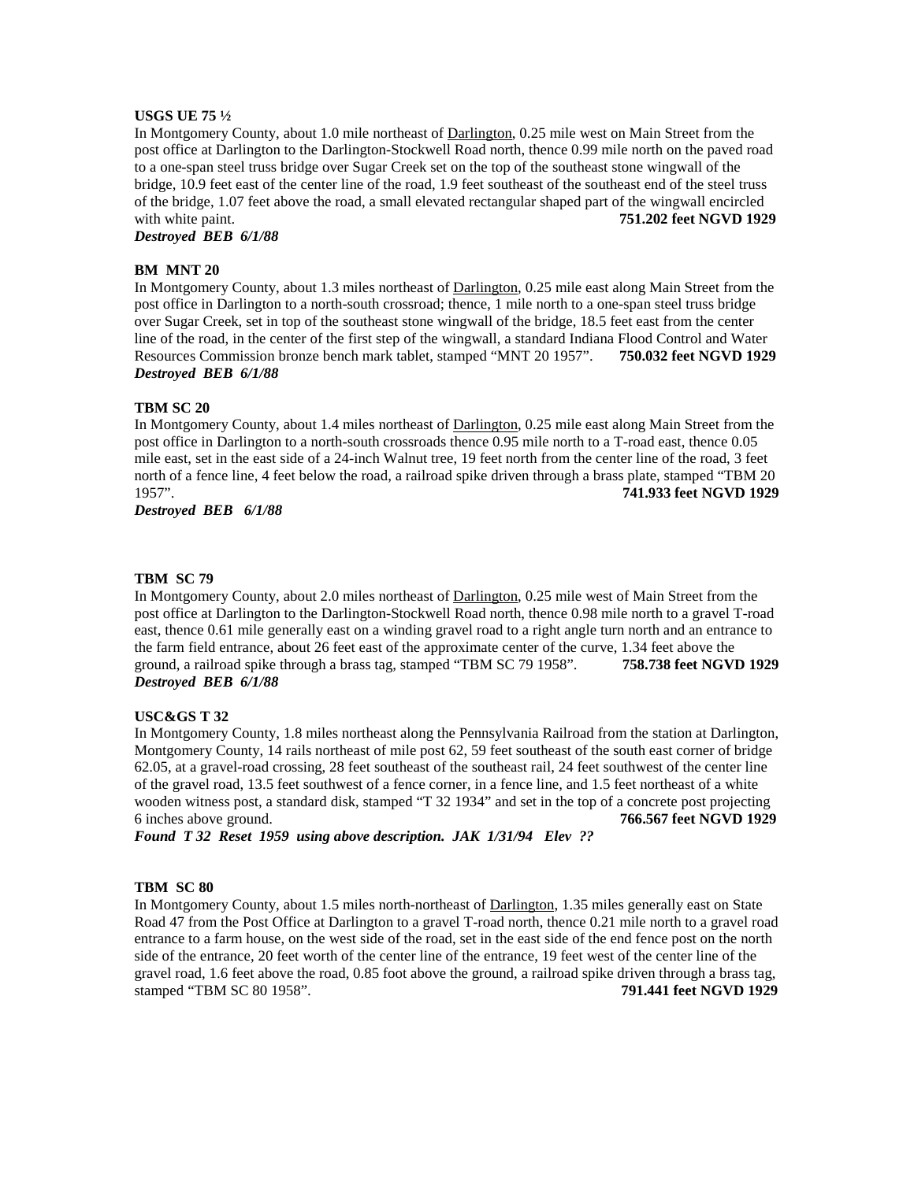# **USGS UE 75 ½**

In Montgomery County, about 1.0 mile northeast of Darlington, 0.25 mile west on Main Street from the post office at Darlington to the Darlington-Stockwell Road north, thence 0.99 mile north on the paved road to a one-span steel truss bridge over Sugar Creek set on the top of the southeast stone wingwall of the bridge, 10.9 feet east of the center line of the road, 1.9 feet southeast of the southeast end of the steel truss of the bridge, 1.07 feet above the road, a small elevated rectangular shaped part of the wingwall encircled with white paint. **751.202 feet NGVD 1929** 

*Destroyed BEB 6/1/88*

# **BM MNT 20**

In Montgomery County, about 1.3 miles northeast of Darlington, 0.25 mile east along Main Street from the post office in Darlington to a north-south crossroad; thence, 1 mile north to a one-span steel truss bridge over Sugar Creek, set in top of the southeast stone wingwall of the bridge, 18.5 feet east from the center line of the road, in the center of the first step of the wingwall, a standard Indiana Flood Control and Water Resources Commission bronze bench mark tablet, stamped "MNT 20 1957". **750.032 feet NGVD 1929** *Destroyed BEB 6/1/88*

## **TBM SC 20**

In Montgomery County, about 1.4 miles northeast of Darlington, 0.25 mile east along Main Street from the post office in Darlington to a north-south crossroads thence 0.95 mile north to a T-road east, thence 0.05 mile east, set in the east side of a 24-inch Walnut tree, 19 feet north from the center line of the road, 3 feet north of a fence line, 4 feet below the road, a railroad spike driven through a brass plate, stamped "TBM 20 1957". **741.933 feet NGVD 1929**

*Destroyed BEB 6/1/88*

## **TBM SC 79**

In Montgomery County, about 2.0 miles northeast of Darlington, 0.25 mile west of Main Street from the post office at Darlington to the Darlington-Stockwell Road north, thence 0.98 mile north to a gravel T-road east, thence 0.61 mile generally east on a winding gravel road to a right angle turn north and an entrance to the farm field entrance, about 26 feet east of the approximate center of the curve, 1.34 feet above the ground, a railroad spike through a brass tag, stamped "TBM SC 79 1958". **758.738 feet NGVD 1929** *Destroyed BEB 6/1/88*

## **USC&GS T 32**

In Montgomery County, 1.8 miles northeast along the Pennsylvania Railroad from the station at Darlington, Montgomery County, 14 rails northeast of mile post 62, 59 feet southeast of the south east corner of bridge 62.05, at a gravel-road crossing, 28 feet southeast of the southeast rail, 24 feet southwest of the center line of the gravel road, 13.5 feet southwest of a fence corner, in a fence line, and 1.5 feet northeast of a white wooden witness post, a standard disk, stamped "T 32 1934" and set in the top of a concrete post projecting 6 inches above ground. **766.567 feet NGVD 1929**

*Found T 32 Reset 1959 using above description. JAK 1/31/94 Elev ??*

# **TBM SC 80**

In Montgomery County, about 1.5 miles north-northeast of Darlington, 1.35 miles generally east on State Road 47 from the Post Office at Darlington to a gravel T-road north, thence 0.21 mile north to a gravel road entrance to a farm house, on the west side of the road, set in the east side of the end fence post on the north side of the entrance, 20 feet worth of the center line of the entrance, 19 feet west of the center line of the gravel road, 1.6 feet above the road, 0.85 foot above the ground, a railroad spike driven through a brass tag, stamped "TBM SC 80 1958". **791.441 feet NGVD 1929**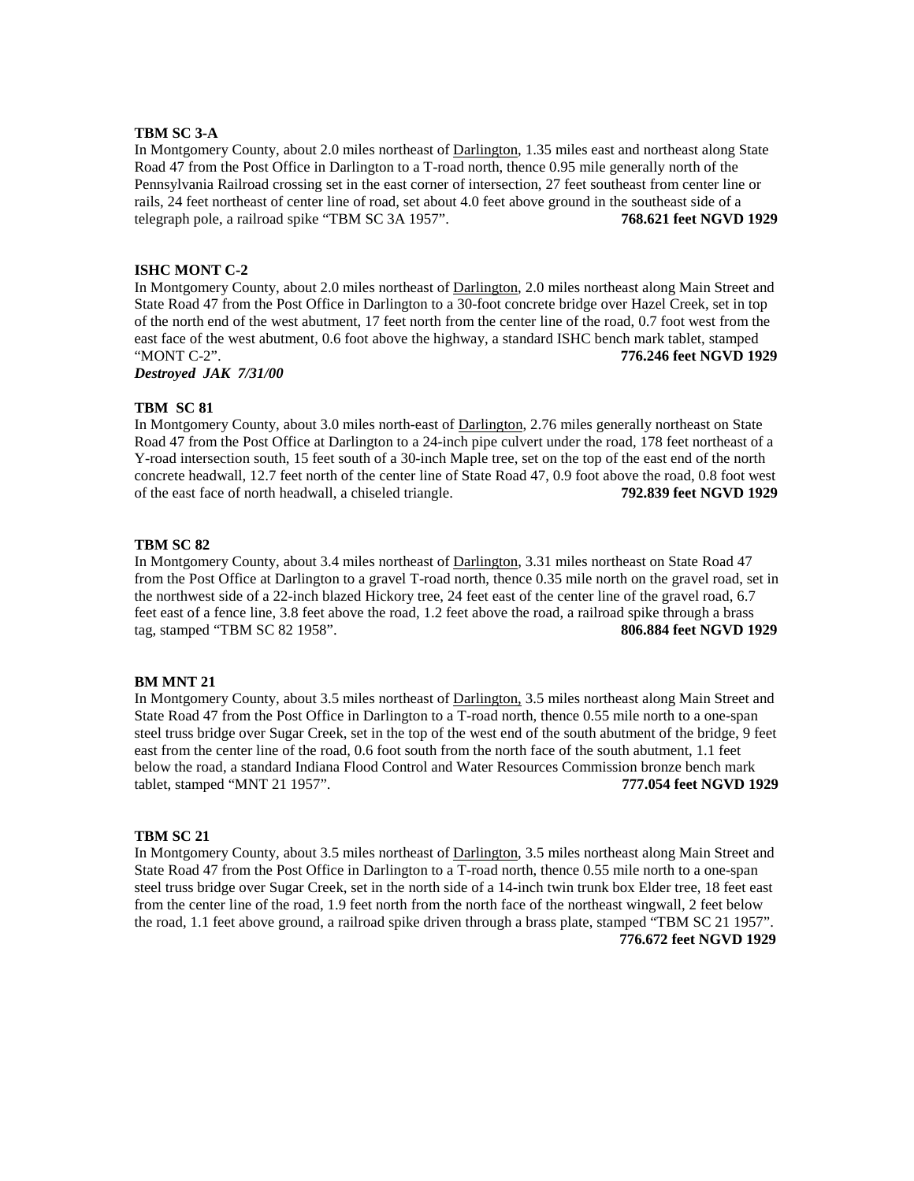#### **TBM SC 3-A**

In Montgomery County, about 2.0 miles northeast of Darlington, 1.35 miles east and northeast along State Road 47 from the Post Office in Darlington to a T-road north, thence 0.95 mile generally north of the Pennsylvania Railroad crossing set in the east corner of intersection, 27 feet southeast from center line or rails, 24 feet northeast of center line of road, set about 4.0 feet above ground in the southeast side of a telegraph pole, a railroad spike "TBM SC 3A 1957". **768.621 feet NGVD 1929**

# **ISHC MONT C-2**

In Montgomery County, about 2.0 miles northeast of Darlington, 2.0 miles northeast along Main Street and State Road 47 from the Post Office in Darlington to a 30-foot concrete bridge over Hazel Creek, set in top of the north end of the west abutment, 17 feet north from the center line of the road, 0.7 foot west from the east face of the west abutment, 0.6 foot above the highway, a standard ISHC bench mark tablet, stamped "MONT C-2". **776.246 feet NGVD 1929** *Destroyed JAK 7/31/00*

# **TBM SC 81**

In Montgomery County, about 3.0 miles north-east of Darlington, 2.76 miles generally northeast on State Road 47 from the Post Office at Darlington to a 24-inch pipe culvert under the road, 178 feet northeast of a Y-road intersection south, 15 feet south of a 30-inch Maple tree, set on the top of the east end of the north concrete headwall, 12.7 feet north of the center line of State Road 47, 0.9 foot above the road, 0.8 foot west of the east face of north headwall, a chiseled triangle. **792.839 feet NGVD 1929**

# **TBM SC 82**

In Montgomery County, about 3.4 miles northeast of Darlington, 3.31 miles northeast on State Road 47 from the Post Office at Darlington to a gravel T-road north, thence 0.35 mile north on the gravel road, set in the northwest side of a 22-inch blazed Hickory tree, 24 feet east of the center line of the gravel road, 6.7 feet east of a fence line, 3.8 feet above the road, 1.2 feet above the road, a railroad spike through a brass tag, stamped "TBM SC 82 1958". **806.884 feet NGVD 1929**

# **BM MNT 21**

In Montgomery County, about 3.5 miles northeast of Darlington, 3.5 miles northeast along Main Street and State Road 47 from the Post Office in Darlington to a T-road north, thence 0.55 mile north to a one-span steel truss bridge over Sugar Creek, set in the top of the west end of the south abutment of the bridge, 9 feet east from the center line of the road, 0.6 foot south from the north face of the south abutment, 1.1 feet below the road, a standard Indiana Flood Control and Water Resources Commission bronze bench mark tablet, stamped "MNT 21 1957". **777.054 feet NGVD 1929**

## **TBM SC 21**

In Montgomery County, about 3.5 miles northeast of Darlington, 3.5 miles northeast along Main Street and State Road 47 from the Post Office in Darlington to a T-road north, thence 0.55 mile north to a one-span steel truss bridge over Sugar Creek, set in the north side of a 14-inch twin trunk box Elder tree, 18 feet east from the center line of the road, 1.9 feet north from the north face of the northeast wingwall, 2 feet below the road, 1.1 feet above ground, a railroad spike driven through a brass plate, stamped "TBM SC 21 1957". **776.672 feet NGVD 1929**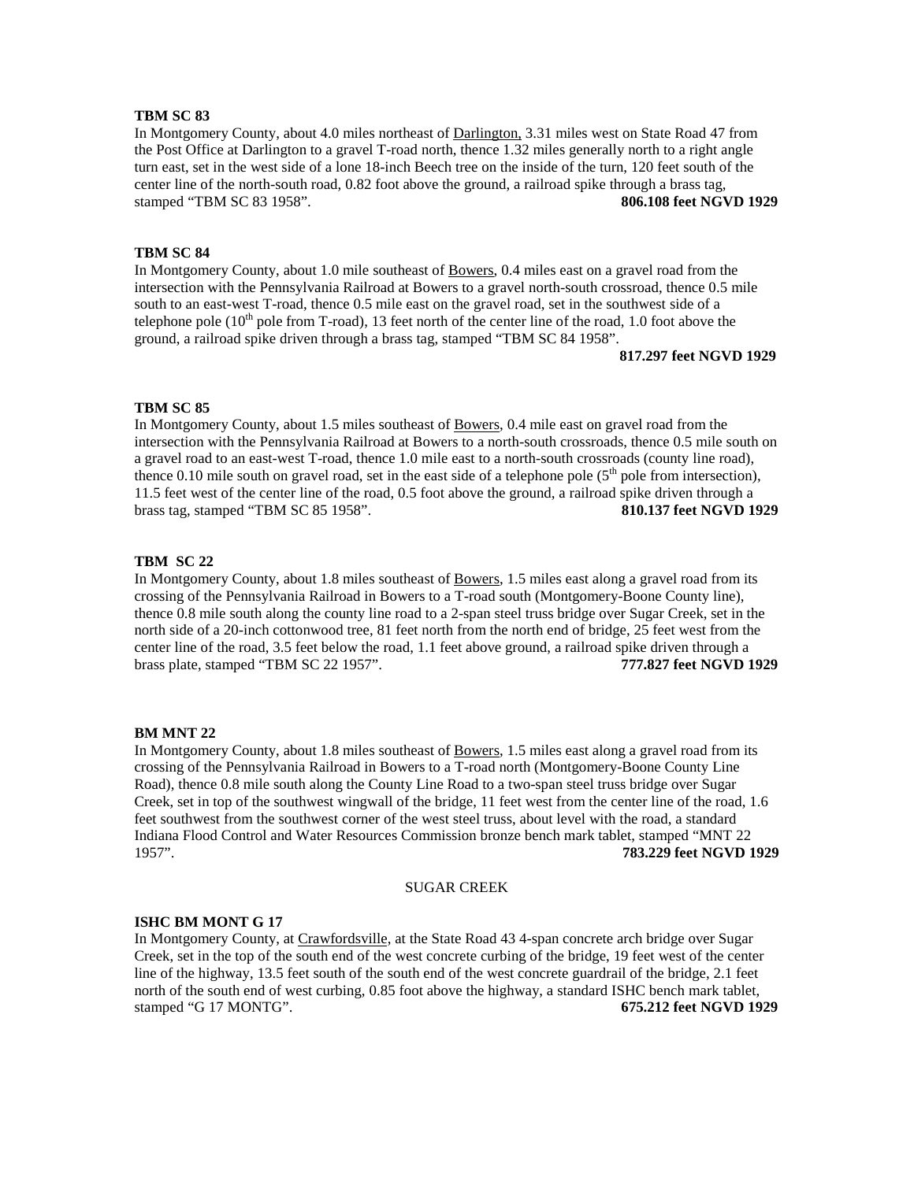In Montgomery County, about 4.0 miles northeast of Darlington, 3.31 miles west on State Road 47 from the Post Office at Darlington to a gravel T-road north, thence 1.32 miles generally north to a right angle turn east, set in the west side of a lone 18-inch Beech tree on the inside of the turn, 120 feet south of the center line of the north-south road, 0.82 foot above the ground, a railroad spike through a brass tag, stamped "TBM SC 83 1958". **806.108 feet NGVD 1929**

## **TBM SC 84**

In Montgomery County, about 1.0 mile southeast of Bowers, 0.4 miles east on a gravel road from the intersection with the Pennsylvania Railroad at Bowers to a gravel north-south crossroad, thence 0.5 mile south to an east-west T-road, thence 0.5 mile east on the gravel road, set in the southwest side of a telephone pole  $(10<sup>th</sup>$  pole from T-road), 13 feet north of the center line of the road, 1.0 foot above the ground, a railroad spike driven through a brass tag, stamped "TBM SC 84 1958".

#### **817.297 feet NGVD 1929**

## **TBM SC 85**

In Montgomery County, about 1.5 miles southeast of Bowers, 0.4 mile east on gravel road from the intersection with the Pennsylvania Railroad at Bowers to a north-south crossroads, thence 0.5 mile south on a gravel road to an east-west T-road, thence 1.0 mile east to a north-south crossroads (county line road), thence 0.10 mile south on gravel road, set in the east side of a telephone pole ( $5<sup>th</sup>$  pole from intersection), 11.5 feet west of the center line of the road, 0.5 foot above the ground, a railroad spike driven through a brass tag, stamped "TBM SC 85 1958". **810.137 feet NGVD 1929**

## **TBM SC 22**

In Montgomery County, about 1.8 miles southeast of Bowers, 1.5 miles east along a gravel road from its crossing of the Pennsylvania Railroad in Bowers to a T-road south (Montgomery-Boone County line), thence 0.8 mile south along the county line road to a 2-span steel truss bridge over Sugar Creek, set in the north side of a 20-inch cottonwood tree, 81 feet north from the north end of bridge, 25 feet west from the center line of the road, 3.5 feet below the road, 1.1 feet above ground, a railroad spike driven through a brass plate, stamped "TBM SC 22 1957". **777.827 feet NGVD 1929**

#### **BM MNT 22**

In Montgomery County, about 1.8 miles southeast of Bowers, 1.5 miles east along a gravel road from its crossing of the Pennsylvania Railroad in Bowers to a T-road north (Montgomery-Boone County Line Road), thence 0.8 mile south along the County Line Road to a two-span steel truss bridge over Sugar Creek, set in top of the southwest wingwall of the bridge, 11 feet west from the center line of the road, 1.6 feet southwest from the southwest corner of the west steel truss, about level with the road, a standard Indiana Flood Control and Water Resources Commission bronze bench mark tablet, stamped "MNT 22 1957". **783.229 feet NGVD 1929**

## SUGAR CREEK

#### **ISHC BM MONT G 17**

In Montgomery County, at Crawfordsville, at the State Road 43 4-span concrete arch bridge over Sugar Creek, set in the top of the south end of the west concrete curbing of the bridge, 19 feet west of the center line of the highway, 13.5 feet south of the south end of the west concrete guardrail of the bridge, 2.1 feet north of the south end of west curbing, 0.85 foot above the highway, a standard ISHC bench mark tablet, stamped "G 17 MONTG". **675.212 feet NGVD 1929**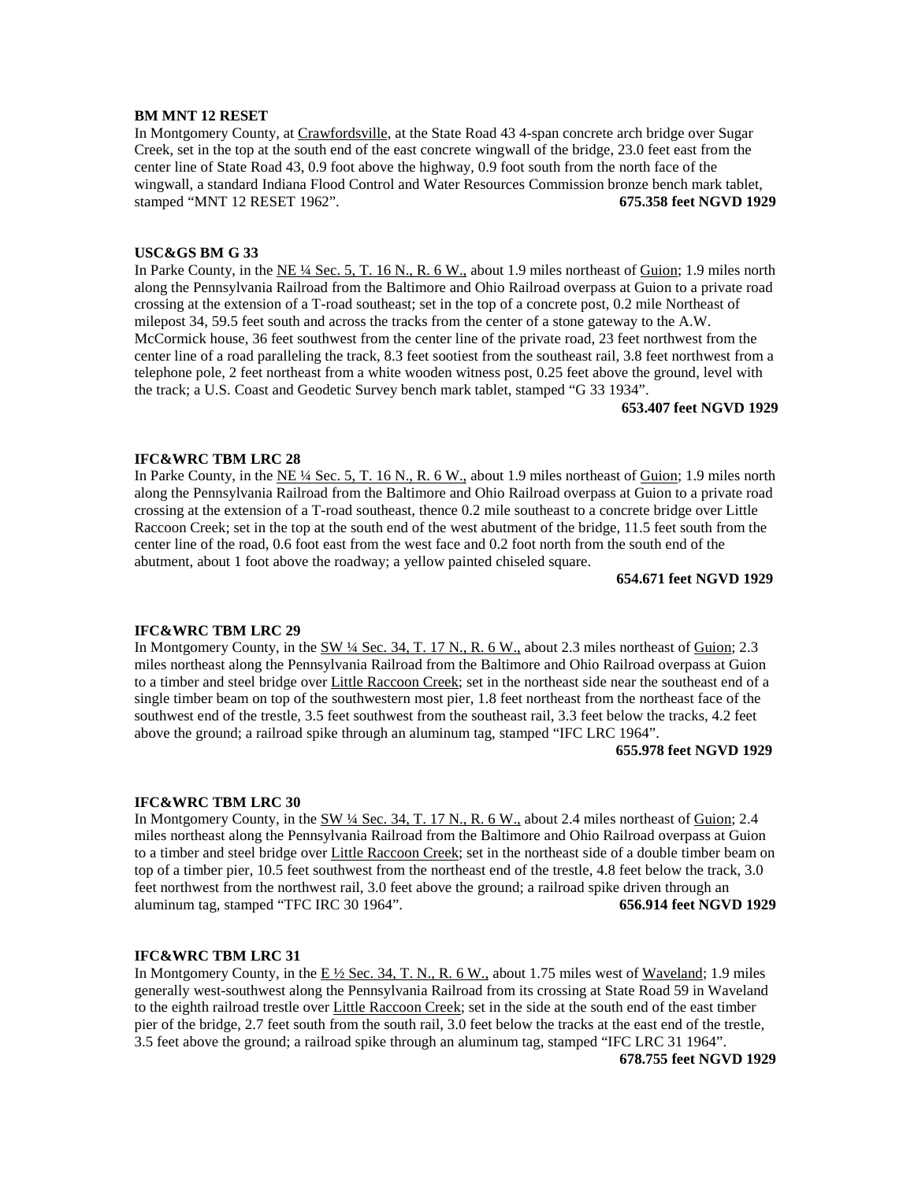# **BM MNT 12 RESET**

In Montgomery County, at Crawfordsville, at the State Road 43 4-span concrete arch bridge over Sugar Creek, set in the top at the south end of the east concrete wingwall of the bridge, 23.0 feet east from the center line of State Road 43, 0.9 foot above the highway, 0.9 foot south from the north face of the wingwall, a standard Indiana Flood Control and Water Resources Commission bronze bench mark tablet, stamped "MNT 12 RESET 1962". **675.358 feet NGVD 1929**

## **USC&GS BM G 33**

In Parke County, in the NE ¼ Sec. 5, T. 16 N., R. 6 W., about 1.9 miles northeast of Guion; 1.9 miles north along the Pennsylvania Railroad from the Baltimore and Ohio Railroad overpass at Guion to a private road crossing at the extension of a T-road southeast; set in the top of a concrete post, 0.2 mile Northeast of milepost 34, 59.5 feet south and across the tracks from the center of a stone gateway to the A.W. McCormick house, 36 feet southwest from the center line of the private road, 23 feet northwest from the center line of a road paralleling the track, 8.3 feet sootiest from the southeast rail, 3.8 feet northwest from a telephone pole, 2 feet northeast from a white wooden witness post, 0.25 feet above the ground, level with the track; a U.S. Coast and Geodetic Survey bench mark tablet, stamped "G 33 1934".

**653.407 feet NGVD 1929**

# **IFC&WRC TBM LRC 28**

In Parke County, in the NE  $\frac{1}{4}$  Sec. 5, T. 16 N., R. 6 W., about 1.9 miles northeast of Guion; 1.9 miles north along the Pennsylvania Railroad from the Baltimore and Ohio Railroad overpass at Guion to a private road crossing at the extension of a T-road southeast, thence 0.2 mile southeast to a concrete bridge over Little Raccoon Creek; set in the top at the south end of the west abutment of the bridge, 11.5 feet south from the center line of the road, 0.6 foot east from the west face and 0.2 foot north from the south end of the abutment, about 1 foot above the roadway; a yellow painted chiseled square.

**654.671 feet NGVD 1929**

## **IFC&WRC TBM LRC 29**

In Montgomery County, in the SW <sup>1</sup>/4 Sec. 34, T. 17 N., R. 6 W., about 2.3 miles northeast of Guion; 2.3 miles northeast along the Pennsylvania Railroad from the Baltimore and Ohio Railroad overpass at Guion to a timber and steel bridge over Little Raccoon Creek; set in the northeast side near the southeast end of a single timber beam on top of the southwestern most pier, 1.8 feet northeast from the northeast face of the southwest end of the trestle, 3.5 feet southwest from the southeast rail, 3.3 feet below the tracks, 4.2 feet above the ground; a railroad spike through an aluminum tag, stamped "IFC LRC 1964".

## **655.978 feet NGVD 1929**

#### **IFC&WRC TBM LRC 30**

In Montgomery County, in the SW 1/4 Sec. 34, T. 17 N., R. 6 W., about 2.4 miles northeast of Guion; 2.4 miles northeast along the Pennsylvania Railroad from the Baltimore and Ohio Railroad overpass at Guion to a timber and steel bridge over Little Raccoon Creek; set in the northeast side of a double timber beam on top of a timber pier, 10.5 feet southwest from the northeast end of the trestle, 4.8 feet below the track, 3.0 feet northwest from the northwest rail, 3.0 feet above the ground; a railroad spike driven through an aluminum tag, stamped "TFC IRC 30 1964". **656.914 feet NGVD 1929**

#### **IFC&WRC TBM LRC 31**

In Montgomery County, in the  $E\frac{1}{2}$  Sec. 34, T. N., R. 6 W., about 1.75 miles west of Waveland; 1.9 miles generally west-southwest along the Pennsylvania Railroad from its crossing at State Road 59 in Waveland to the eighth railroad trestle over Little Raccoon Creek; set in the side at the south end of the east timber pier of the bridge, 2.7 feet south from the south rail, 3.0 feet below the tracks at the east end of the trestle, 3.5 feet above the ground; a railroad spike through an aluminum tag, stamped "IFC LRC 31 1964".

**678.755 feet NGVD 1929**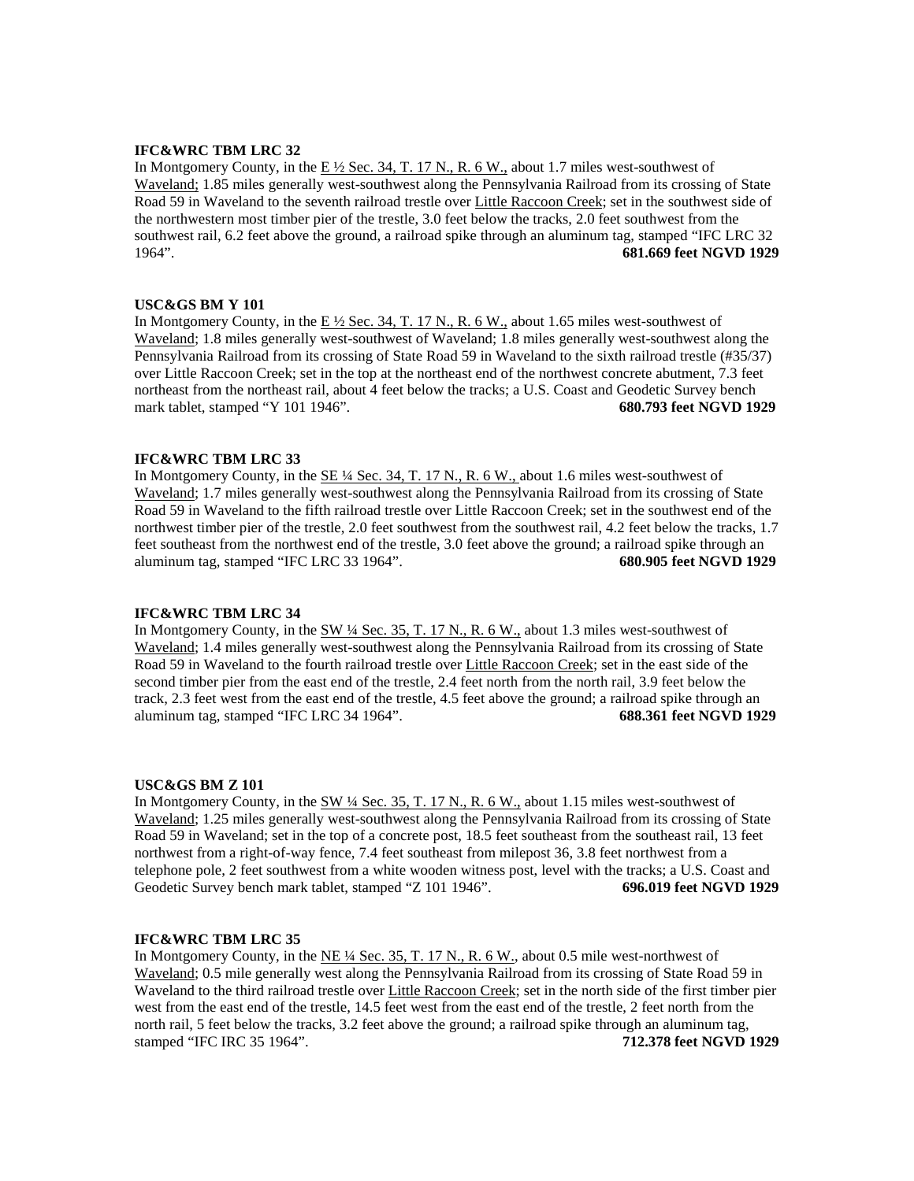# **IFC&WRC TBM LRC 32**

In Montgomery County, in the  $E\frac{1}{2}$  Sec. 34, T. 17 N., R. 6 W., about 1.7 miles west-southwest of Waveland; 1.85 miles generally west-southwest along the Pennsylvania Railroad from its crossing of State Road 59 in Waveland to the seventh railroad trestle over Little Raccoon Creek; set in the southwest side of the northwestern most timber pier of the trestle, 3.0 feet below the tracks, 2.0 feet southwest from the southwest rail, 6.2 feet above the ground, a railroad spike through an aluminum tag, stamped "IFC LRC 32 1964". **681.669 feet NGVD 1929**

## **USC&GS BM Y 101**

In Montgomery County, in the E  $\frac{1}{2}$  Sec. 34, T. 17 N., R. 6 W., about 1.65 miles west-southwest of Waveland; 1.8 miles generally west-southwest of Waveland; 1.8 miles generally west-southwest along the Pennsylvania Railroad from its crossing of State Road 59 in Waveland to the sixth railroad trestle (#35/37) over Little Raccoon Creek; set in the top at the northeast end of the northwest concrete abutment, 7.3 feet northeast from the northeast rail, about 4 feet below the tracks; a U.S. Coast and Geodetic Survey bench mark tablet, stamped "Y 101 1946". **680.793 feet NGVD 1929**

## **IFC&WRC TBM LRC 33**

In Montgomery County, in the SE ¼ Sec. 34, T. 17 N., R. 6 W., about 1.6 miles west-southwest of Waveland; 1.7 miles generally west-southwest along the Pennsylvania Railroad from its crossing of State Road 59 in Waveland to the fifth railroad trestle over Little Raccoon Creek; set in the southwest end of the northwest timber pier of the trestle, 2.0 feet southwest from the southwest rail, 4.2 feet below the tracks, 1.7 feet southeast from the northwest end of the trestle, 3.0 feet above the ground; a railroad spike through an aluminum tag, stamped "IFC LRC 33 1964". **680.905 feet NGVD 1929**

#### **IFC&WRC TBM LRC 34**

In Montgomery County, in the SW 1/4 Sec. 35, T. 17 N., R. 6 W., about 1.3 miles west-southwest of Waveland; 1.4 miles generally west-southwest along the Pennsylvania Railroad from its crossing of State Road 59 in Waveland to the fourth railroad trestle over Little Raccoon Creek; set in the east side of the second timber pier from the east end of the trestle, 2.4 feet north from the north rail, 3.9 feet below the track, 2.3 feet west from the east end of the trestle, 4.5 feet above the ground; a railroad spike through an aluminum tag, stamped "IFC LRC 34 1964". **688.361 feet NGVD 1929**

#### **USC&GS BM Z 101**

In Montgomery County, in the SW  $\frac{1}{4}$  Sec. 35, T. 17 N., R. 6 W., about 1.15 miles west-southwest of Waveland; 1.25 miles generally west-southwest along the Pennsylvania Railroad from its crossing of State Road 59 in Waveland; set in the top of a concrete post, 18.5 feet southeast from the southeast rail, 13 feet northwest from a right-of-way fence, 7.4 feet southeast from milepost 36, 3.8 feet northwest from a telephone pole, 2 feet southwest from a white wooden witness post, level with the tracks; a U.S. Coast and Geodetic Survey bench mark tablet, stamped "Z 101 1946". **696.019 feet NGVD 1929**

#### **IFC&WRC TBM LRC 35**

In Montgomery County, in the NE ¼ Sec. 35, T. 17 N., R. 6 W., about 0.5 mile west-northwest of Waveland; 0.5 mile generally west along the Pennsylvania Railroad from its crossing of State Road 59 in Waveland to the third railroad trestle over Little Raccoon Creek; set in the north side of the first timber pier west from the east end of the trestle, 14.5 feet west from the east end of the trestle, 2 feet north from the north rail, 5 feet below the tracks, 3.2 feet above the ground; a railroad spike through an aluminum tag, stamped "IFC IRC 35 1964". **712.378 feet NGVD 1929**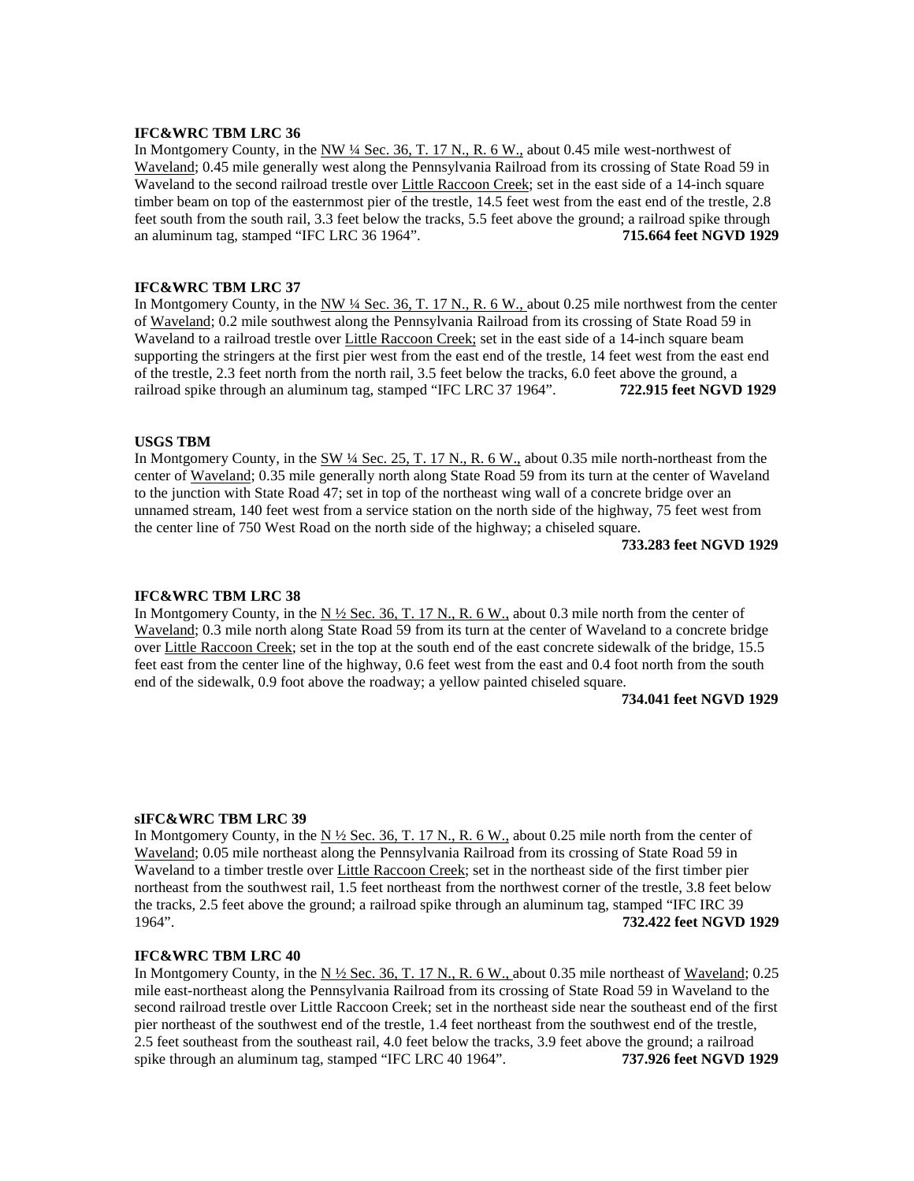#### **IFC&WRC TBM LRC 36**

In Montgomery County, in the NW <sup>1</sup>/4 Sec. 36, T. 17 N., R. 6 W., about 0.45 mile west-northwest of Waveland; 0.45 mile generally west along the Pennsylvania Railroad from its crossing of State Road 59 in Waveland to the second railroad trestle over Little Raccoon Creek; set in the east side of a 14-inch square timber beam on top of the easternmost pier of the trestle, 14.5 feet west from the east end of the trestle, 2.8 feet south from the south rail, 3.3 feet below the tracks, 5.5 feet above the ground; a railroad spike through an aluminum tag, stamped "IFC LRC 36 1964". **715.664 feet NGVD 1929**

## **IFC&WRC TBM LRC 37**

In Montgomery County, in the NW <sup>1</sup>4 Sec. 36, T. 17 N., R. 6 W., about 0.25 mile northwest from the center of Waveland; 0.2 mile southwest along the Pennsylvania Railroad from its crossing of State Road 59 in Waveland to a railroad trestle over Little Raccoon Creek; set in the east side of a 14-inch square beam supporting the stringers at the first pier west from the east end of the trestle, 14 feet west from the east end of the trestle, 2.3 feet north from the north rail, 3.5 feet below the tracks, 6.0 feet above the ground, a railroad spike through an aluminum tag, stamped "IFC LRC 37 1964". **722.915 feet NGVD 1929**

## **USGS TBM**

In Montgomery County, in the SW 1/4 Sec. 25, T. 17 N., R. 6 W., about 0.35 mile north-northeast from the center of Waveland; 0.35 mile generally north along State Road 59 from its turn at the center of Waveland to the junction with State Road 47; set in top of the northeast wing wall of a concrete bridge over an unnamed stream, 140 feet west from a service station on the north side of the highway, 75 feet west from the center line of 750 West Road on the north side of the highway; a chiseled square.

**733.283 feet NGVD 1929**

#### **IFC&WRC TBM LRC 38**

In Montgomery County, in the N  $\frac{1}{2}$  Sec. 36, T. 17 N., R. 6 W., about 0.3 mile north from the center of Waveland; 0.3 mile north along State Road 59 from its turn at the center of Waveland to a concrete bridge over Little Raccoon Creek; set in the top at the south end of the east concrete sidewalk of the bridge, 15.5 feet east from the center line of the highway, 0.6 feet west from the east and 0.4 foot north from the south end of the sidewalk, 0.9 foot above the roadway; a yellow painted chiseled square.

#### **734.041 feet NGVD 1929**

### **sIFC&WRC TBM LRC 39**

In Montgomery County, in the  $N \frac{1}{2}$  Sec. 36, T. 17 N., R. 6 W., about 0.25 mile north from the center of Waveland; 0.05 mile northeast along the Pennsylvania Railroad from its crossing of State Road 59 in Waveland to a timber trestle over Little Raccoon Creek; set in the northeast side of the first timber pier northeast from the southwest rail, 1.5 feet northeast from the northwest corner of the trestle, 3.8 feet below the tracks, 2.5 feet above the ground; a railroad spike through an aluminum tag, stamped "IFC IRC 39 1964". **732.422 feet NGVD 1929**

#### **IFC&WRC TBM LRC 40**

In Montgomery County, in the  $N \frac{1}{2}$  Sec. 36, T. 17 N., R. 6 W., about 0.35 mile northeast of Waveland; 0.25 mile east-northeast along the Pennsylvania Railroad from its crossing of State Road 59 in Waveland to the second railroad trestle over Little Raccoon Creek; set in the northeast side near the southeast end of the first pier northeast of the southwest end of the trestle, 1.4 feet northeast from the southwest end of the trestle, 2.5 feet southeast from the southeast rail, 4.0 feet below the tracks, 3.9 feet above the ground; a railroad spike through an aluminum tag, stamped "IFC LRC 40 1964". **737.926 feet NGVD 1929**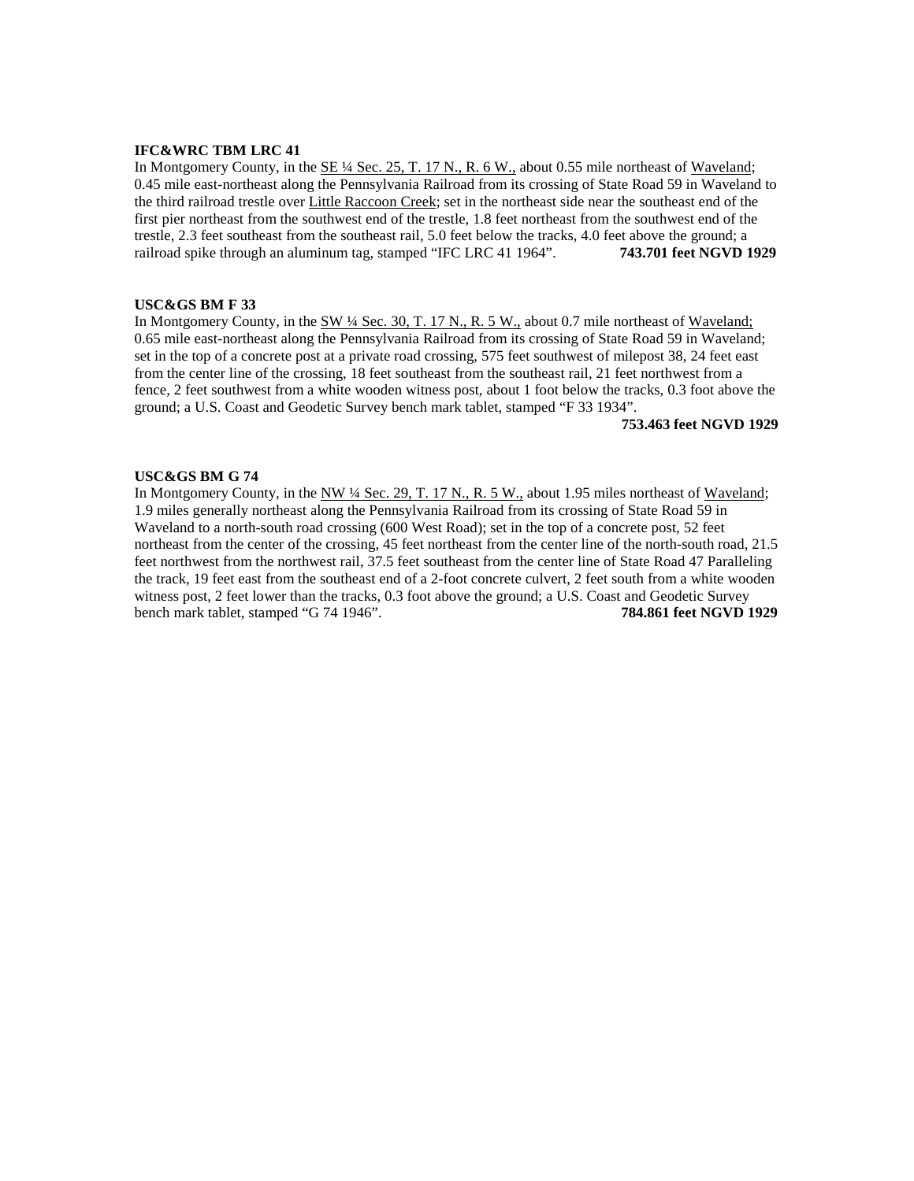## **IFC&WRC TBM LRC 41**

In Montgomery County, in the  $SE \frac{1}{4}$  Sec. 25, T. 17 N., R. 6 W., about 0.55 mile northeast of Waveland; 0.45 mile east-northeast along the Pennsylvania Railroad from its crossing of State Road 59 in Waveland to the third railroad trestle over Little Raccoon Creek; set in the northeast side near the southeast end of the first pier northeast from the southwest end of the trestle, 1.8 feet northeast from the southwest end of the trestle, 2.3 feet southeast from the southeast rail, 5.0 feet below the tracks, 4.0 feet above the ground; a railroad spike through an aluminum tag, stamped "IFC LRC 41 1964". **743.701 feet NGVD 1929**

## **USC&GS BM F 33**

In Montgomery County, in the SW ¼ Sec. 30, T. 17 N., R. 5 W., about 0.7 mile northeast of Waveland; 0.65 mile east-northeast along the Pennsylvania Railroad from its crossing of State Road 59 in Waveland; set in the top of a concrete post at a private road crossing, 575 feet southwest of milepost 38, 24 feet east from the center line of the crossing, 18 feet southeast from the southeast rail, 21 feet northwest from a fence, 2 feet southwest from a white wooden witness post, about 1 foot below the tracks, 0.3 foot above the ground; a U.S. Coast and Geodetic Survey bench mark tablet, stamped "F 33 1934".

#### **753.463 feet NGVD 1929**

#### **USC&GS BM G 74**

In Montgomery County, in the NW  $\frac{1}{4}$  Sec. 29, T. 17 N., R. 5 W., about 1.95 miles northeast of Waveland; 1.9 miles generally northeast along the Pennsylvania Railroad from its crossing of State Road 59 in Waveland to a north-south road crossing (600 West Road); set in the top of a concrete post, 52 feet northeast from the center of the crossing, 45 feet northeast from the center line of the north-south road, 21.5 feet northwest from the northwest rail, 37.5 feet southeast from the center line of State Road 47 Paralleling the track, 19 feet east from the southeast end of a 2-foot concrete culvert, 2 feet south from a white wooden witness post, 2 feet lower than the tracks, 0.3 foot above the ground; a U.S. Coast and Geodetic Survey bench mark tablet, stamped "G 74 1946". **784.861 feet NGVD 1929**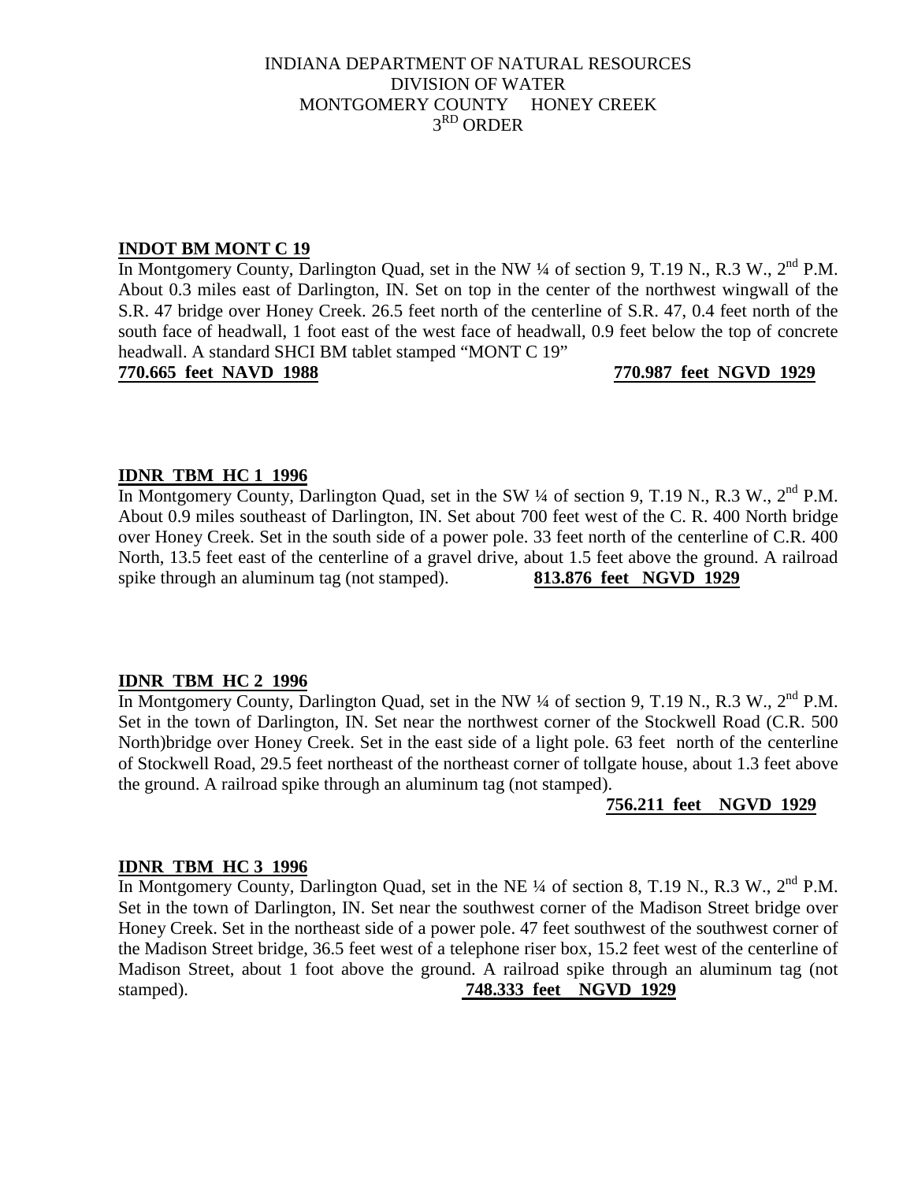# INDIANA DEPARTMENT OF NATURAL RESOURCES DIVISION OF WATER MONTGOMERY COUNTY HONEY CREEK 3RD ORDER

# **INDOT BM MONT C 19**

In Montgomery County, Darlington Quad, set in the NW ¼ of section 9, T.19 N., R.3 W., 2<sup>nd</sup> P.M. About 0.3 miles east of Darlington, IN. Set on top in the center of the northwest wingwall of the S.R. 47 bridge over Honey Creek. 26.5 feet north of the centerline of S.R. 47, 0.4 feet north of the south face of headwall, 1 foot east of the west face of headwall, 0.9 feet below the top of concrete headwall. A standard SHCI BM tablet stamped "MONT C 19"

**770.665 feet NAVD 1988 770.987 feet NGVD 1929**

# **IDNR TBM HC 1 1996**

In Montgomery County, Darlington Quad, set in the SW 1/4 of section 9, T.19 N., R.3 W., 2<sup>nd</sup> P.M. About 0.9 miles southeast of Darlington, IN. Set about 700 feet west of the C. R. 400 North bridge over Honey Creek. Set in the south side of a power pole. 33 feet north of the centerline of C.R. 400 North, 13.5 feet east of the centerline of a gravel drive, about 1.5 feet above the ground. A railroad spike through an aluminum tag (not stamped). **813.876 feet NGVD 1929**

# **IDNR TBM HC 2 1996**

In Montgomery County, Darlington Quad, set in the NW ¼ of section 9, T.19 N., R.3 W., 2<sup>nd</sup> P.M. Set in the town of Darlington, IN. Set near the northwest corner of the Stockwell Road (C.R. 500 North)bridge over Honey Creek. Set in the east side of a light pole. 63 feet north of the centerline of Stockwell Road, 29.5 feet northeast of the northeast corner of tollgate house, about 1.3 feet above the ground. A railroad spike through an aluminum tag (not stamped).

# **756.211 feet NGVD 1929**

# **IDNR TBM HC 3 1996**

In Montgomery County, Darlington Quad, set in the NE <sup>1</sup>/4 of section 8, T.19 N., R.3 W., 2<sup>nd</sup> P.M. Set in the town of Darlington, IN. Set near the southwest corner of the Madison Street bridge over Honey Creek. Set in the northeast side of a power pole. 47 feet southwest of the southwest corner of the Madison Street bridge, 36.5 feet west of a telephone riser box, 15.2 feet west of the centerline of Madison Street, about 1 foot above the ground. A railroad spike through an aluminum tag (not stamped). **748.333 feet NGVD 1929**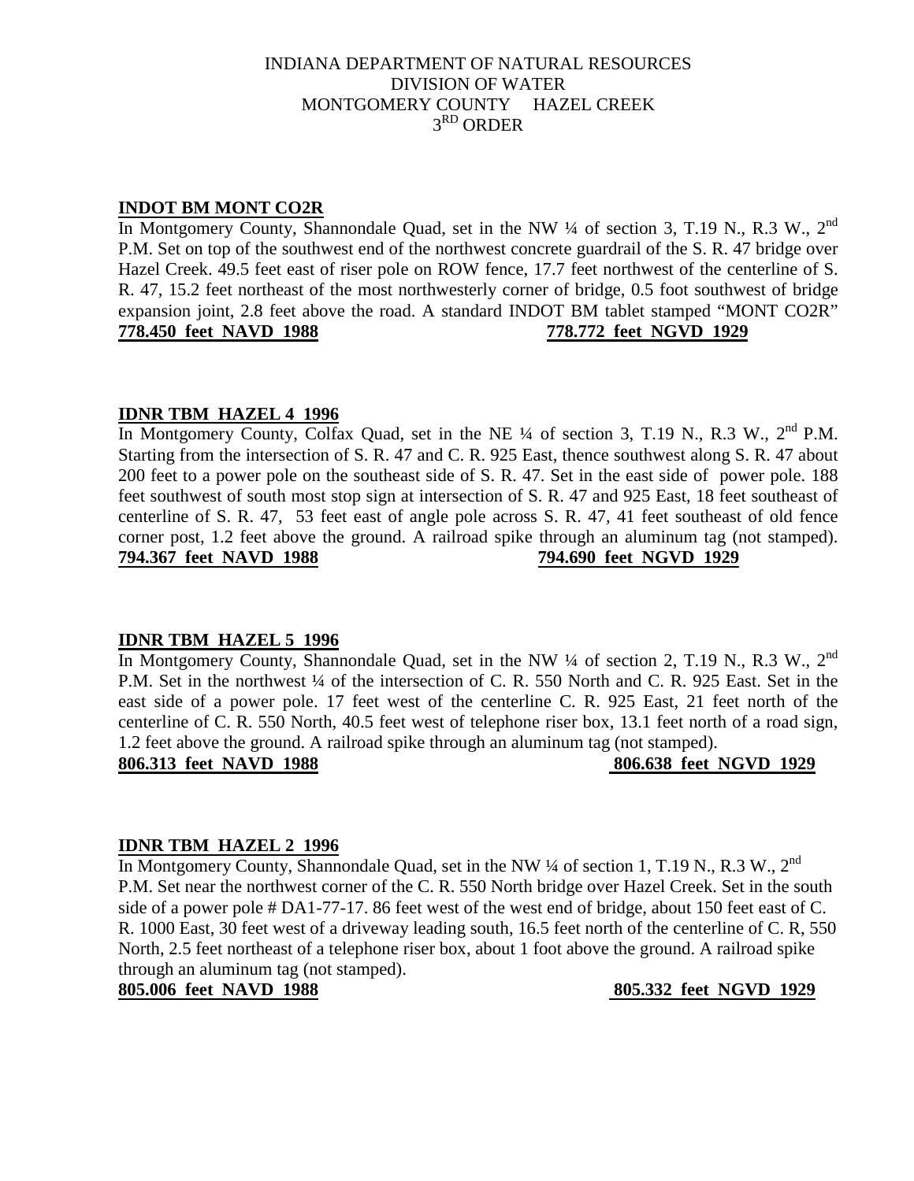# **INDOT BM MONT CO2R**

In Montgomery County, Shannondale Quad, set in the NW  $\frac{1}{4}$  of section 3, T.19 N., R.3 W., 2<sup>nd</sup> P.M. Set on top of the southwest end of the northwest concrete guardrail of the S. R. 47 bridge over Hazel Creek. 49.5 feet east of riser pole on ROW fence, 17.7 feet northwest of the centerline of S. R. 47, 15.2 feet northeast of the most northwesterly corner of bridge, 0.5 foot southwest of bridge expansion joint, 2.8 feet above the road. A standard INDOT BM tablet stamped "MONT CO2R" **778.450 feet NAVD 1988 778.772 feet NGVD 1929**

# **IDNR TBM HAZEL 4 1996**

In Montgomery County, Colfax Quad, set in the NE <sup>1</sup>/4 of section 3, T.19 N., R.3 W., 2<sup>nd</sup> P.M. Starting from the intersection of S. R. 47 and C. R. 925 East, thence southwest along S. R. 47 about 200 feet to a power pole on the southeast side of S. R. 47. Set in the east side of power pole. 188 feet southwest of south most stop sign at intersection of S. R. 47 and 925 East, 18 feet southeast of centerline of S. R. 47, 53 feet east of angle pole across S. R. 47, 41 feet southeast of old fence corner post, 1.2 feet above the ground. A railroad spike through an aluminum tag (not stamped). **794.367 feet NAVD 1988 794.690 feet NGVD 1929**

# **IDNR TBM HAZEL 5 1996**

In Montgomery County, Shannondale Quad, set in the NW  $\frac{1}{4}$  of section 2, T.19 N., R.3 W., 2<sup>nd</sup> P.M. Set in the northwest 1/4 of the intersection of C. R. 550 North and C. R. 925 East. Set in the east side of a power pole. 17 feet west of the centerline C. R. 925 East, 21 feet north of the centerline of C. R. 550 North, 40.5 feet west of telephone riser box, 13.1 feet north of a road sign, 1.2 feet above the ground. A railroad spike through an aluminum tag (not stamped).

**806.313 feet NAVD 1988 806.638 feet NGVD 1929**

# **IDNR TBM HAZEL 2 1996**

In Montgomery County, Shannondale Quad, set in the NW  $\frac{1}{4}$  of section 1, T.19 N., R.3 W., 2<sup>nd</sup> P.M. Set near the northwest corner of the C. R. 550 North bridge over Hazel Creek. Set in the south side of a power pole # DA1-77-17. 86 feet west of the west end of bridge, about 150 feet east of C. R. 1000 East, 30 feet west of a driveway leading south, 16.5 feet north of the centerline of C. R, 550 North, 2.5 feet northeast of a telephone riser box, about 1 foot above the ground. A railroad spike through an aluminum tag (not stamped).

**805.006 feet NAVD 1988 805.332 feet NGVD 1929**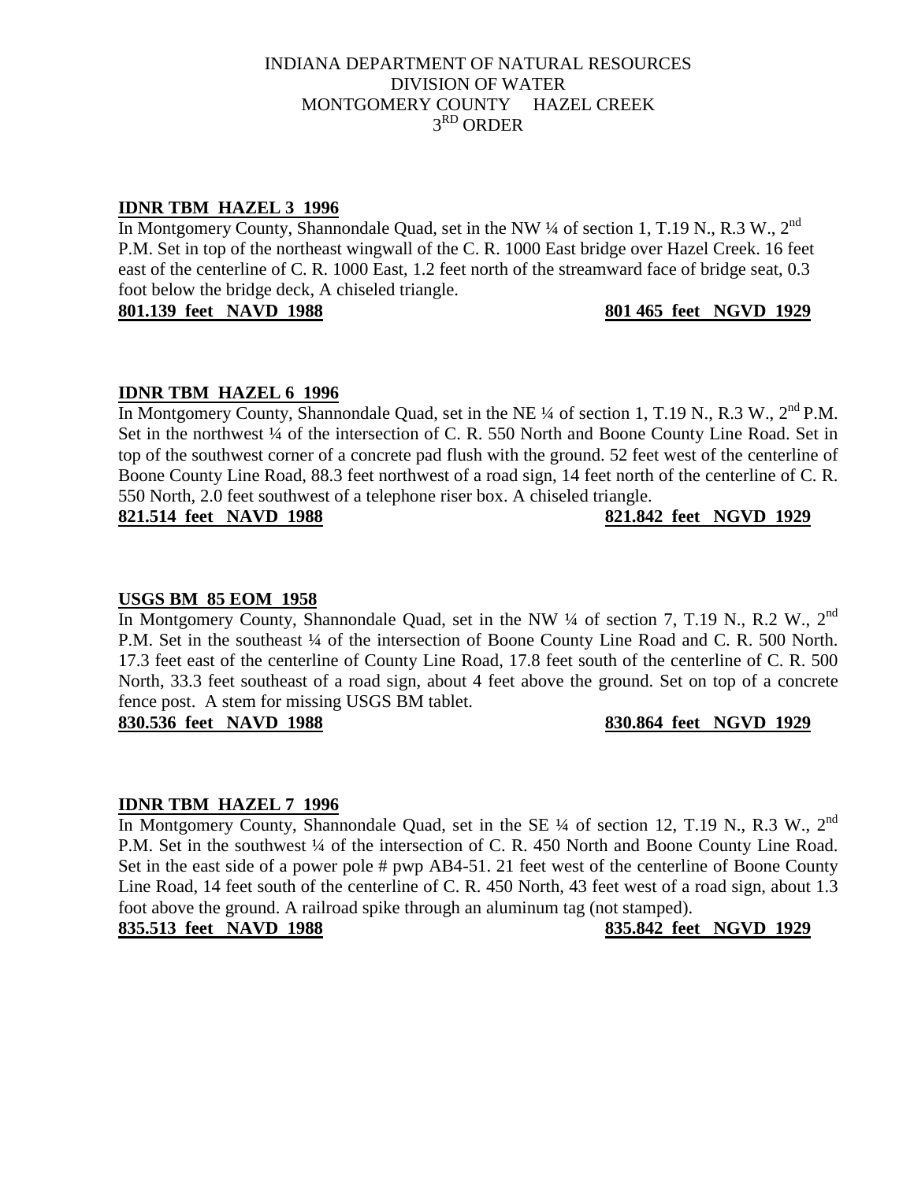# **IDNR TBM HAZEL 3 1996**

In Montgomery County, Shannondale Quad, set in the NW  $\frac{1}{4}$  of section 1, T.19 N., R.3 W., 2<sup>nd</sup> P.M. Set in top of the northeast wingwall of the C. R. 1000 East bridge over Hazel Creek. 16 feet east of the centerline of C. R. 1000 East, 1.2 feet north of the streamward face of bridge seat, 0.3 foot below the bridge deck, A chiseled triangle.

**801.139 feet NAVD 1988 801 465 feet NGVD 1929**

# **IDNR TBM HAZEL 6 1996**

In Montgomery County, Shannondale Quad, set in the NE ¼ of section 1, T.19 N., R.3 W., 2<sup>nd</sup> P.M. Set in the northwest 1/4 of the intersection of C. R. 550 North and Boone County Line Road. Set in top of the southwest corner of a concrete pad flush with the ground. 52 feet west of the centerline of Boone County Line Road, 88.3 feet northwest of a road sign, 14 feet north of the centerline of C. R. 550 North, 2.0 feet southwest of a telephone riser box. A chiseled triangle.

**821.514 feet NAVD 1988 821.842 feet NGVD 1929**

# **USGS BM 85 EOM 1958**

In Montgomery County, Shannondale Quad, set in the NW  $\frac{1}{4}$  of section 7, T.19 N., R.2 W., 2<sup>nd</sup> P.M. Set in the southeast ¼ of the intersection of Boone County Line Road and C. R. 500 North. 17.3 feet east of the centerline of County Line Road, 17.8 feet south of the centerline of C. R. 500 North, 33.3 feet southeast of a road sign, about 4 feet above the ground. Set on top of a concrete fence post. A stem for missing USGS BM tablet.

# **830.536 feet NAVD 1988 830.864 feet NGVD 1929**

# **IDNR TBM HAZEL 7 1996**

In Montgomery County, Shannondale Quad, set in the SE  $\frac{1}{4}$  of section 12, T.19 N., R.3 W., 2<sup>nd</sup> P.M. Set in the southwest  $\frac{1}{4}$  of the intersection of C. R. 450 North and Boone County Line Road. Set in the east side of a power pole # pwp AB4-51. 21 feet west of the centerline of Boone County Line Road, 14 feet south of the centerline of C. R. 450 North, 43 feet west of a road sign, about 1.3 foot above the ground. A railroad spike through an aluminum tag (not stamped).

**835.513 feet NAVD 1988 835.842 feet NGVD 1929**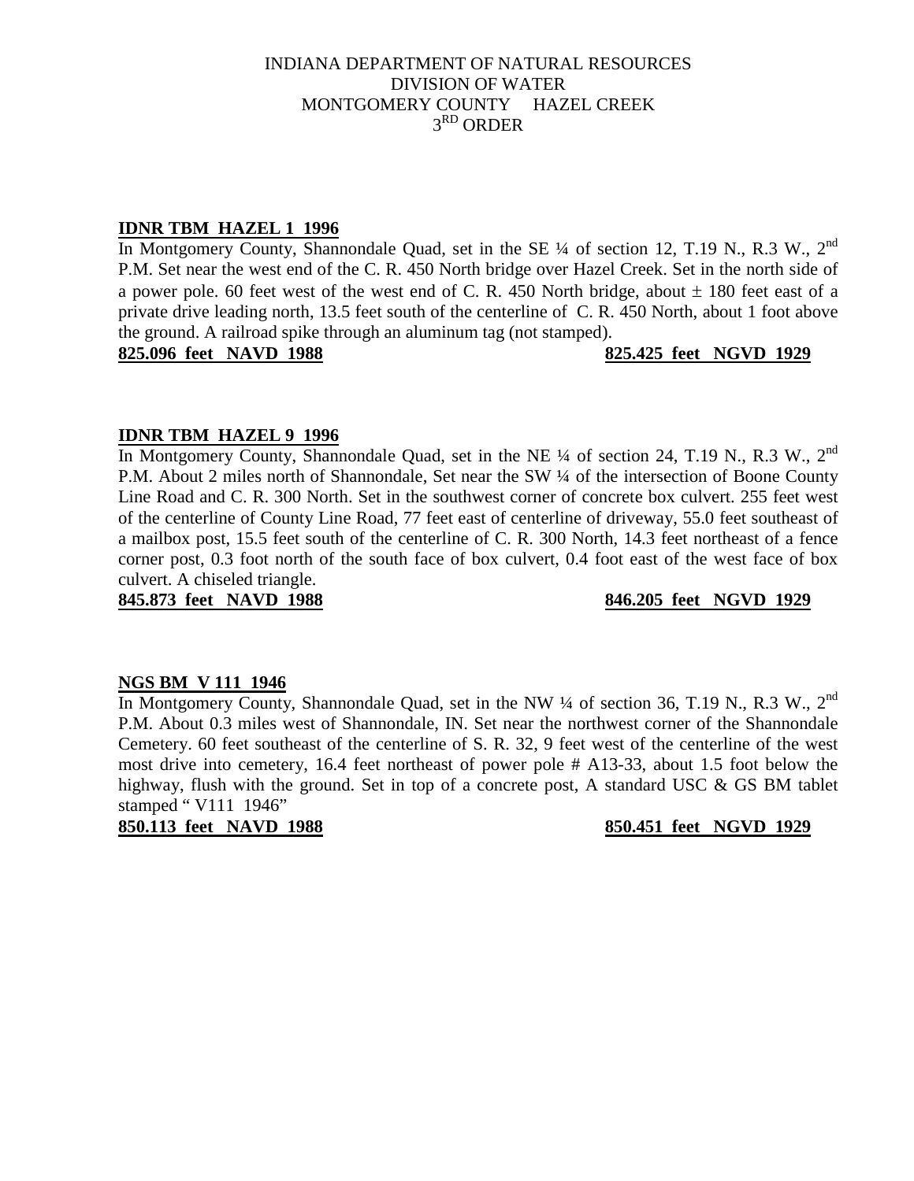# **IDNR TBM HAZEL 1 1996**

In Montgomery County, Shannondale Quad, set in the SE  $\frac{1}{4}$  of section 12, T.19 N., R.3 W., 2<sup>nd</sup> P.M. Set near the west end of the C. R. 450 North bridge over Hazel Creek. Set in the north side of a power pole. 60 feet west of the west end of C. R. 450 North bridge, about  $\pm$  180 feet east of a private drive leading north, 13.5 feet south of the centerline of C. R. 450 North, about 1 foot above the ground. A railroad spike through an aluminum tag (not stamped).

**825.096 feet NAVD 1988 825.425 feet NGVD 1929**

# **IDNR TBM HAZEL 9 1996**

In Montgomery County, Shannondale Quad, set in the NE  $\frac{1}{4}$  of section 24, T.19 N., R.3 W., 2<sup>nd</sup> P.M. About 2 miles north of Shannondale, Set near the SW  $\frac{1}{4}$  of the intersection of Boone County Line Road and C. R. 300 North. Set in the southwest corner of concrete box culvert. 255 feet west of the centerline of County Line Road, 77 feet east of centerline of driveway, 55.0 feet southeast of a mailbox post, 15.5 feet south of the centerline of C. R. 300 North, 14.3 feet northeast of a fence corner post, 0.3 foot north of the south face of box culvert, 0.4 foot east of the west face of box culvert. A chiseled triangle.

**845.873 feet NAVD 1988 846.205 feet NGVD 1929**

# **NGS BM V 111 1946**

In Montgomery County, Shannondale Quad, set in the NW  $\frac{1}{4}$  of section 36, T.19 N., R.3 W., 2<sup>nd</sup> P.M. About 0.3 miles west of Shannondale, IN. Set near the northwest corner of the Shannondale Cemetery. 60 feet southeast of the centerline of S. R. 32, 9 feet west of the centerline of the west most drive into cemetery, 16.4 feet northeast of power pole # A13-33, about 1.5 foot below the highway, flush with the ground. Set in top of a concrete post, A standard USC & GS BM tablet stamped " V111 1946"

**850.113 feet NAVD 1988 850.451 feet NGVD 1929**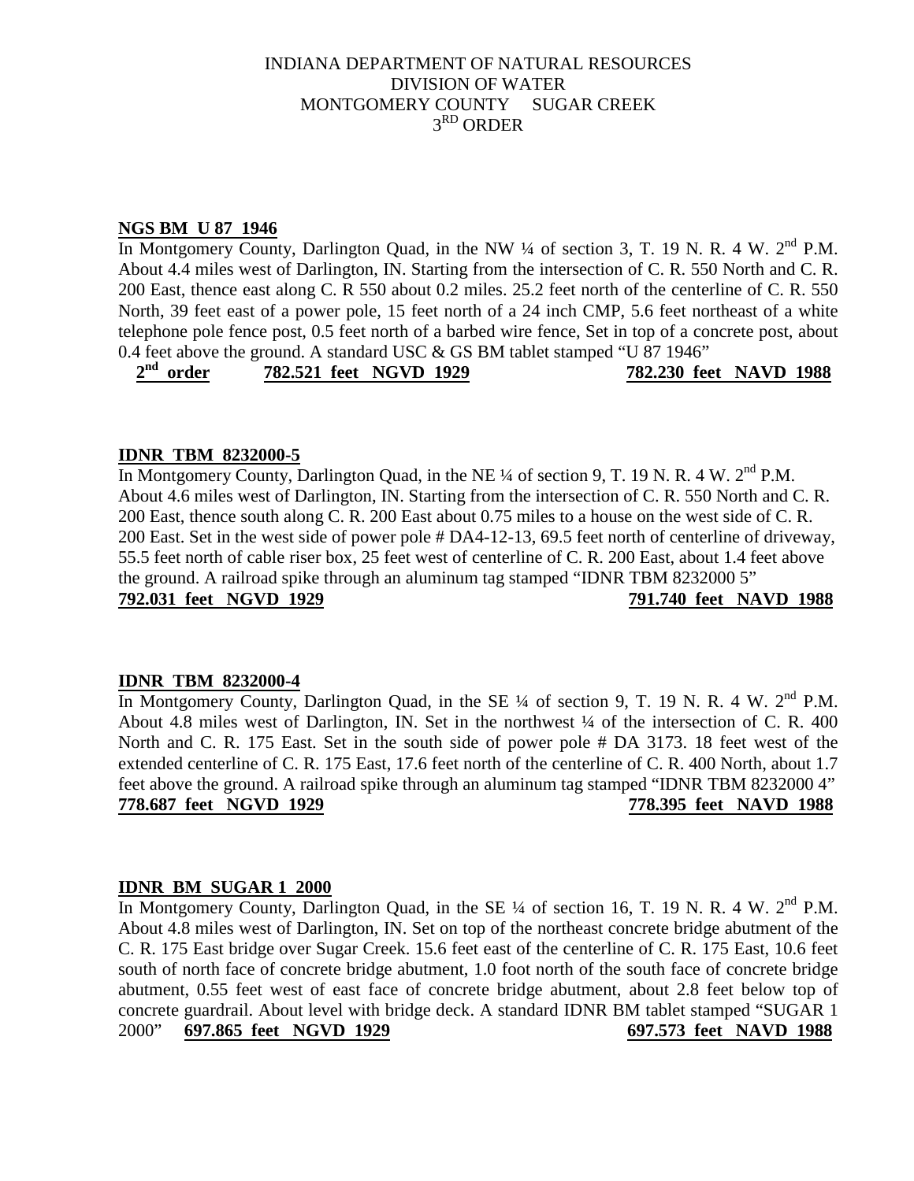# **NGS BM U 87 1946**

In Montgomery County, Darlington Quad, in the NW  $\frac{1}{4}$  of section 3, T. 19 N. R. 4 W.  $2^{nd}$  P.M. About 4.4 miles west of Darlington, IN. Starting from the intersection of C. R. 550 North and C. R. 200 East, thence east along C. R 550 about 0.2 miles. 25.2 feet north of the centerline of C. R. 550 North, 39 feet east of a power pole, 15 feet north of a 24 inch CMP, 5.6 feet northeast of a white telephone pole fence post, 0.5 feet north of a barbed wire fence, Set in top of a concrete post, about

0.4 feet above the ground. A standard USC & GS BM tablet stamped "U 87 1946"<br> $2<sup>nd</sup> order$  782.521 feet NGVD 1929 782.230 fee  **2nd order 782.521 feet NGVD 1929 782.230 feet NAVD 1988**

# **IDNR TBM 8232000-5**

In Montgomery County, Darlington Quad, in the NE  $\frac{1}{4}$  of section 9, T, 19 N, R, 4 W,  $2^{nd}$  P.M. About 4.6 miles west of Darlington, IN. Starting from the intersection of C. R. 550 North and C. R. 200 East, thence south along C. R. 200 East about 0.75 miles to a house on the west side of C. R. 200 East. Set in the west side of power pole # DA4-12-13, 69.5 feet north of centerline of driveway, 55.5 feet north of cable riser box, 25 feet west of centerline of C. R. 200 East, about 1.4 feet above the ground. A railroad spike through an aluminum tag stamped "IDNR TBM 8232000 5" **792.031 feet NGVD 1929 791.740 feet NAVD 1988**

# **IDNR TBM 8232000-4**

In Montgomery County, Darlington Quad, in the SE <sup>1</sup>/4 of section 9, T. 19 N. R. 4 W. 2<sup>nd</sup> P.M. About 4.8 miles west of Darlington, IN. Set in the northwest ¼ of the intersection of C. R. 400 North and C. R. 175 East. Set in the south side of power pole # DA 3173. 18 feet west of the extended centerline of C. R. 175 East, 17.6 feet north of the centerline of C. R. 400 North, about 1.7 feet above the ground. A railroad spike through an aluminum tag stamped "IDNR TBM 8232000 4" **778.687 feet NGVD 1929 778.395 feet NAVD 1988**

# **IDNR BM SUGAR 1 2000**

In Montgomery County, Darlington Quad, in the SE ¼ of section 16, T. 19 N. R. 4 W. 2<sup>nd</sup> P.M. About 4.8 miles west of Darlington, IN. Set on top of the northeast concrete bridge abutment of the C. R. 175 East bridge over Sugar Creek. 15.6 feet east of the centerline of C. R. 175 East, 10.6 feet south of north face of concrete bridge abutment, 1.0 foot north of the south face of concrete bridge abutment, 0.55 feet west of east face of concrete bridge abutment, about 2.8 feet below top of concrete guardrail. About level with bridge deck. A standard IDNR BM tablet stamped "SUGAR 1 2000" **697.865 feet NGVD 1929 697.573 feet NAVD 1988**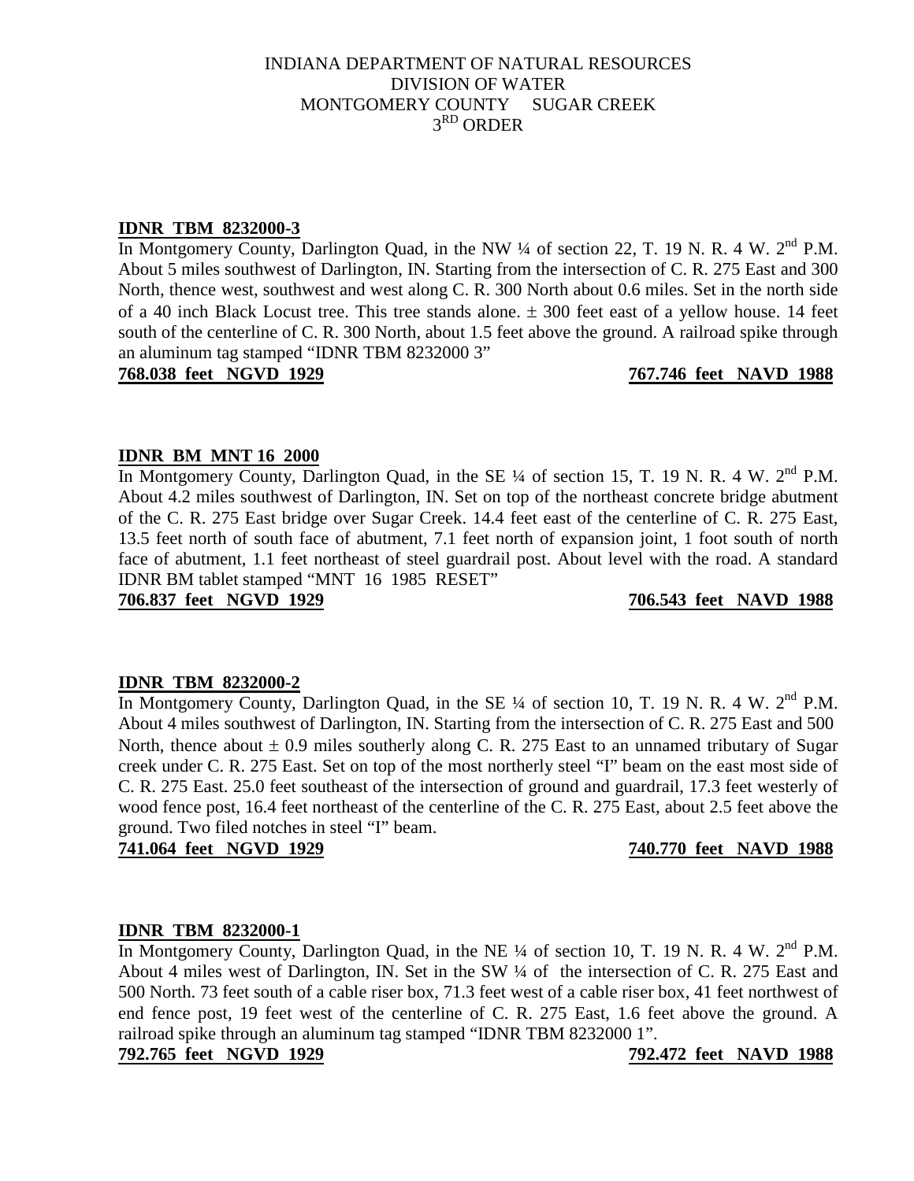# **IDNR TBM 8232000-3**

In Montgomery County, Darlington Quad, in the NW ¼ of section 22, T. 19 N. R. 4 W. 2<sup>nd</sup> P.M. About 5 miles southwest of Darlington, IN. Starting from the intersection of C. R. 275 East and 300 North, thence west, southwest and west along C. R. 300 North about 0.6 miles. Set in the north side of a 40 inch Black Locust tree. This tree stands alone.  $\pm$  300 feet east of a yellow house. 14 feet south of the centerline of C. R. 300 North, about 1.5 feet above the ground. A railroad spike through an aluminum tag stamped "IDNR TBM 8232000 3"

**768.038 feet NGVD 1929 767.746 feet NAVD 1988**

# **IDNR BM MNT 16 2000**

In Montgomery County, Darlington Quad, in the SE  $\frac{1}{4}$  of section 15, T. 19 N. R. 4 W.  $2^{nd}$  P.M. About 4.2 miles southwest of Darlington, IN. Set on top of the northeast concrete bridge abutment of the C. R. 275 East bridge over Sugar Creek. 14.4 feet east of the centerline of C. R. 275 East, 13.5 feet north of south face of abutment, 7.1 feet north of expansion joint, 1 foot south of north face of abutment, 1.1 feet northeast of steel guardrail post. About level with the road. A standard IDNR BM tablet stamped "MNT 16 1985 RESET"

**706.837 feet NGVD 1929 706.543 feet NAVD 1988**

# **IDNR TBM 8232000-2**

In Montgomery County, Darlington Quad, in the SE  $\frac{1}{4}$  of section 10, T. 19 N. R. 4 W.  $2^{nd}$  P.M. About 4 miles southwest of Darlington, IN. Starting from the intersection of C. R. 275 East and 500 North, thence about  $\pm 0.9$  miles southerly along C. R. 275 East to an unnamed tributary of Sugar creek under C. R. 275 East. Set on top of the most northerly steel "I" beam on the east most side of C. R. 275 East. 25.0 feet southeast of the intersection of ground and guardrail, 17.3 feet westerly of wood fence post, 16.4 feet northeast of the centerline of the C. R. 275 East, about 2.5 feet above the ground. Two filed notches in steel "I" beam.

**741.064 feet NGVD 1929 740.770 feet NAVD 1988**

# **IDNR TBM 8232000-1**

In Montgomery County, Darlington Quad, in the NE  $\frac{1}{4}$  of section 10, T. 19 N. R. 4 W.  $2^{nd}$  P.M. About 4 miles west of Darlington, IN. Set in the SW ¼ of the intersection of C. R. 275 East and 500 North. 73 feet south of a cable riser box, 71.3 feet west of a cable riser box, 41 feet northwest of end fence post, 19 feet west of the centerline of C. R. 275 East, 1.6 feet above the ground. A railroad spike through an aluminum tag stamped "IDNR TBM 8232000 1".

# **792.765 feet NGVD 1929 792.472 feet NAVD 1988**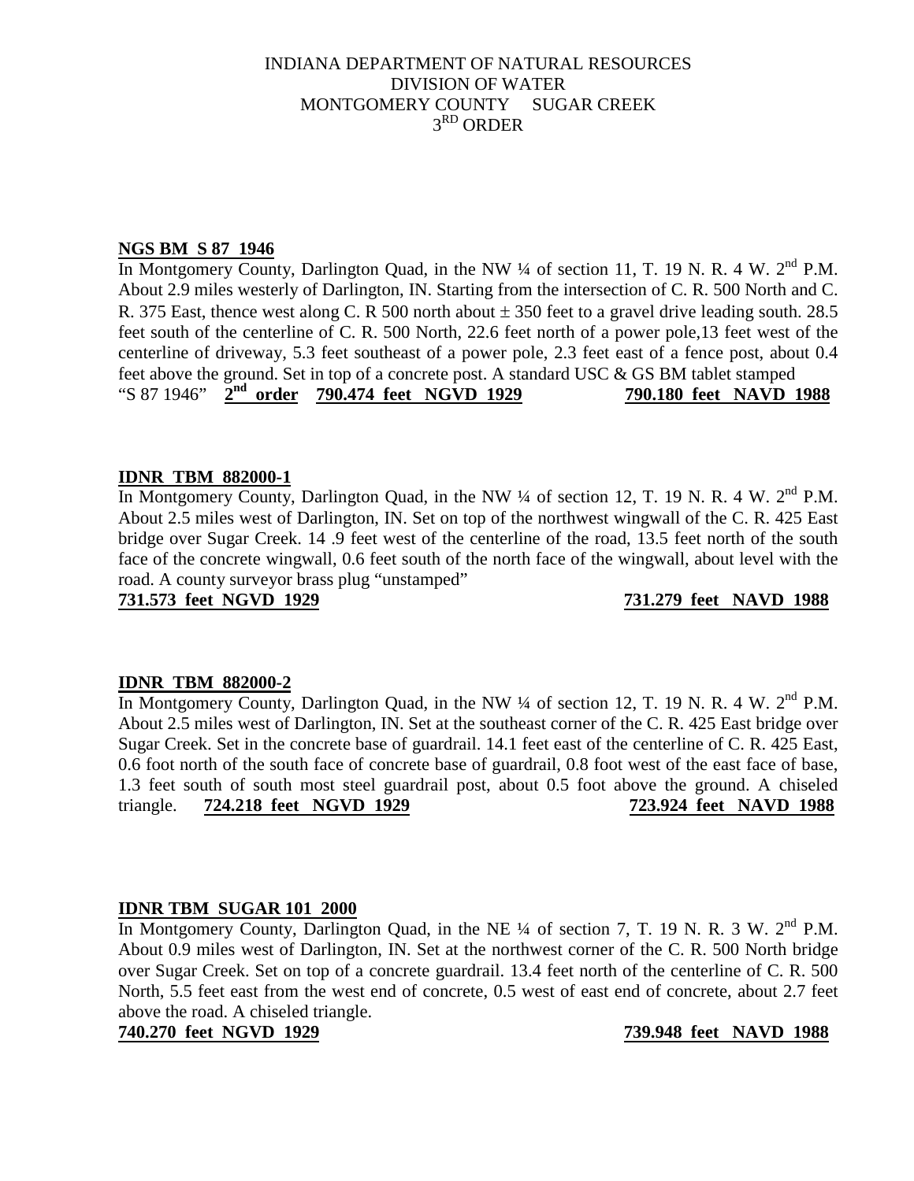# **NGS BM S 87 1946**

In Montgomery County, Darlington Quad, in the NW ¼ of section 11, T. 19 N. R. 4 W. 2<sup>nd</sup> P.M. About 2.9 miles westerly of Darlington, IN. Starting from the intersection of C. R. 500 North and C. R. 375 East, thence west along C. R 500 north about  $\pm$  350 feet to a gravel drive leading south. 28.5 feet south of the centerline of C. R. 500 North, 22.6 feet north of a power pole,13 feet west of the centerline of driveway, 5.3 feet southeast of a power pole, 2.3 feet east of a fence post, about 0.4 feet above the ground. Set in top of a concrete post. A standard USC & GS BM tablet stamped "S 87 1946" **2nd order 790.474 feet NGVD 1929 790.180 feet NAVD 1988**

# **IDNR TBM 882000-1**

In Montgomery County, Darlington Quad, in the NW  $\frac{1}{4}$  of section 12, T. 19 N. R. 4 W.  $2^{nd}$  P.M. About 2.5 miles west of Darlington, IN. Set on top of the northwest wingwall of the C. R. 425 East bridge over Sugar Creek. 14 .9 feet west of the centerline of the road, 13.5 feet north of the south face of the concrete wingwall, 0.6 feet south of the north face of the wingwall, about level with the road. A county surveyor brass plug "unstamped"

**731.573 feet NGVD 1929 731.279 feet NAVD 1988**

# **IDNR TBM 882000-2**

In Montgomery County, Darlington Quad, in the NW  $\frac{1}{4}$  of section 12, T. 19 N. R. 4 W.  $2^{nd}$  P.M. About 2.5 miles west of Darlington, IN. Set at the southeast corner of the C. R. 425 East bridge over Sugar Creek. Set in the concrete base of guardrail. 14.1 feet east of the centerline of C. R. 425 East, 0.6 foot north of the south face of concrete base of guardrail, 0.8 foot west of the east face of base, 1.3 feet south of south most steel guardrail post, about 0.5 foot above the ground. A chiseled triangle. **724.218 feet NGVD 1929 723.924 feet NAVD 1988**

# **IDNR TBM SUGAR 101 2000**

In Montgomery County, Darlington Quad, in the NE  $\frac{1}{4}$  of section 7, T. 19 N. R. 3 W.  $2^{nd}$  P.M. About 0.9 miles west of Darlington, IN. Set at the northwest corner of the C. R. 500 North bridge over Sugar Creek. Set on top of a concrete guardrail. 13.4 feet north of the centerline of C. R. 500 North, 5.5 feet east from the west end of concrete, 0.5 west of east end of concrete, about 2.7 feet above the road. A chiseled triangle.

# **740.270 feet NGVD 1929 739.948 feet NAVD 1988**